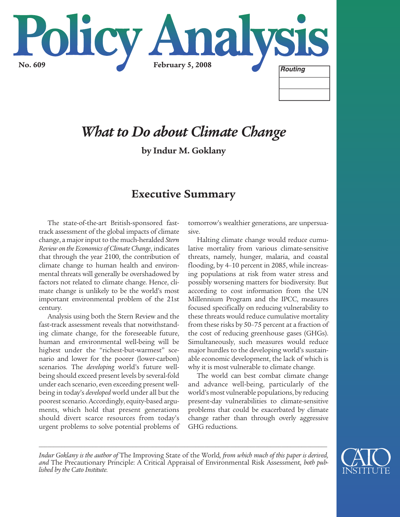

# *What to Do about Climate Change*

**by Indur M. Goklany**

# **Executive Summary**

The state-of-the-art British-sponsored fasttrack assessment of the global impacts of climate change, a major input to the much-heralded *Stern Review on the Economics of Climate Change*, indicates that through the year 2100, the contribution of climate change to human health and environmental threats will generally be overshadowed by factors not related to climate change. Hence, climate change is unlikely to be the world's most important environmental problem of the 21st century.

Analysis using both the Stern Review and the fast-track assessment reveals that notwithstanding climate change, for the foreseeable future, human and environmental well-being will be highest under the "richest-but-warmest" scenario and lower for the poorer (lower-carbon) scenarios. The *developing* world's future wellbeing should exceed present levels by several-fold under each scenario, even exceeding present wellbeing in today's *developed* world under all but the poorest scenario. Accordingly, equity-based arguments, which hold that present generations should divert scarce resources from today's urgent problems to solve potential problems of tomorrow's wealthier generations, are unpersuasive.

Halting climate change would reduce cumulative mortality from various climate-sensitive threats, namely, hunger, malaria, and coastal flooding, by 4–10 percent in 2085, while increasing populations at risk from water stress and possibly worsening matters for biodiversity. But according to cost information from the UN Millennium Program and the IPCC, measures focused specifically on reducing vulnerability to these threats would reduce cumulative mortality from these risks by 50–75 percent at a fraction of the cost of reducing greenhouse gases (GHGs). Simultaneously, such measures would reduce major hurdles to the developing world's sustainable economic development, the lack of which is why it is most vulnerable to climate change.

The world can best combat climate change and advance well-being, particularly of the world's most vulnerable populations, by reducing present-day vulnerabilities to climate-sensitive problems that could be exacerbated by climate change rather than through overly aggressive GHG reductions.



*\_\_\_\_\_\_\_\_\_\_\_\_\_\_\_\_\_\_\_\_\_\_\_\_\_\_\_\_\_\_\_\_\_\_\_\_\_\_\_\_\_\_\_\_\_\_\_\_\_\_\_\_\_\_\_\_\_\_\_\_\_\_\_\_\_\_\_\_\_\_\_\_\_\_\_\_\_\_\_\_\_\_\_\_\_\_\_\_\_\_\_\_\_\_\_\_\_\_\_\_\_*

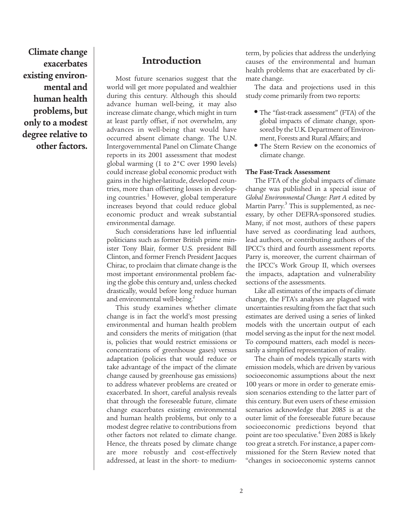**Climate change exacerbates existing environmental and human health problems, but only to a modest degree relative to other factors.**

# **Introduction**

Most future scenarios suggest that the world will get more populated and wealthier during this century. Although this should advance human well-being, it may also increase climate change, which might in turn at least partly offset, if not overwhelm, any advances in well-being that would have occurred absent climate change. The U.N. Intergovernmental Panel on Climate Change reports in its 2001 assessment that modest global warming (1 to 2°C over 1990 levels) could increase global economic product with gains in the higher-latitude, developed countries, more than offsetting losses in developing countries.<sup>1</sup> However, global temperature increases beyond that could reduce global economic product and wreak substantial environmental damage.

Such considerations have led influential politicians such as former British prime minister Tony Blair, former U.S. president Bill Clinton, and former French President Jacques Chirac, to proclaim that climate change is the most important environmental problem facing the globe this century and, unless checked drastically, would before long reduce human and environmental well-being.<sup>2</sup>

This study examines whether climate change is in fact the world's most pressing environmental and human health problem and considers the merits of mitigation (that is, policies that would restrict emissions or concentrations of greenhouse gases) versus adaptation (policies that would reduce or take advantage of the impact of the climate change caused by greenhouse gas emissions) to address whatever problems are created or exacerbated. In short, careful analysis reveals that through the foreseeable future, climate change exacerbates existing environmental and human health problems, but only to a modest degree relative to contributions from other factors not related to climate change. Hence, the threats posed by climate change are more robustly and cost-effectively addressed, at least in the short- to mediumterm, by policies that address the underlying causes of the environmental and human health problems that are exacerbated by climate change.

The data and projections used in this study come primarily from two reports:

- The "fast-track assessment" (FTA) of the global impacts of climate change, sponsored by the U.K. Department of Environment, Forests and Rural Affairs; and
- The Stern Review on the economics of climate change.

### **The Fast-Track Assessment**

The FTA of the global impacts of climate change was published in a special issue of *Global Environmental Change: Part A* edited by Martin Parry.<sup>3</sup> This is supplemented, as necessary, by other DEFRA-sponsored studies. Many, if not most, authors of these papers have served as coordinating lead authors, lead authors, or contributing authors of the IPCC's third and fourth assessment reports. Parry is, moreover, the current chairman of the IPCC's Work Group II, which oversees the impacts, adaptation and vulnerability sections of the assessments.

Like all estimates of the impacts of climate change, the FTA's analyses are plagued with uncertainties resulting from the fact that such estimates are derived using a series of linked models with the uncertain output of each model serving as the input for the next model. To compound matters, each model is necessarily a simplified representation of reality.

The chain of models typically starts with emission models, which are driven by various socioeconomic assumptions about the next 100 years or more in order to generate emission scenarios extending to the latter part of this century. But even users of these emission scenarios acknowledge that 2085 is at the outer limit of the foreseeable future because socioeconomic predictions beyond that point are too speculative.<sup>4</sup> Even 2085 is likely too great a stretch. For instance, a paper commissioned for the Stern Review noted that "changes in socioeconomic systems cannot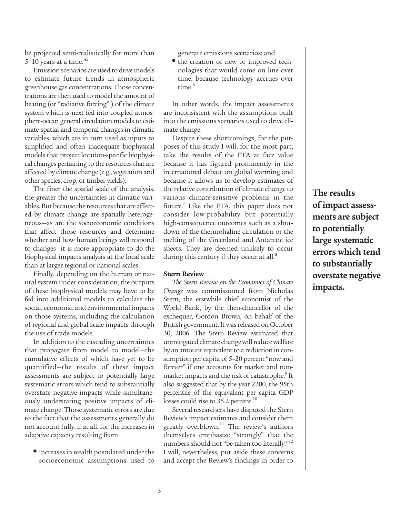be projected semi-realistically for more than 5–10 years at a time."5

Emission scenarios are used to drive models to estimate future trends in atmospheric greenhouse gas concentrations. Those concentrations are then used to model the amount of heating (or "radiative forcing" ) of the climate system which is next fed into coupled atmosphere-ocean general circulation models to estimate spatial and temporal changes in climatic variables, which are in turn used as inputs to simplified and often inadequate biophysical models that project location-specific biophysical changes pertaining to the resources that are affected by climate change (e.g., vegetation and other species, crop, or timber yields).

The finer the spatial scale of the analysis, the greater the uncertainties in climatic variables. But because the resources that are affected by climate change are spatially heterogeneous—as are the socioeconomic conditions that affect those resources and determine whether and how human beings will respond to changes—it is more appropriate to do the biophysical impacts analysis at the local scale than at larger regional or national scales.

Finally, depending on the human or natural system under consideration, the outputs of these biophysical models may have to be fed into additional models to calculate the social, economic, and environmental impacts on those systems, including the calculation of regional and global scale impacts through the use of trade models.

In addition to the cascading uncertainties that propagate from model to model—the cumulative effects of which have yet to be quantified—the results of these impact assessments are subject to potentially large systematic errors which tend to substantially overstate negative impacts while simultaneously understating positive impacts of climate change. Those systematic errors are due to the fact that the assessments generally do not account fully, if at all, for the increases in adaptive capacity resulting from

**•** increases in wealth postulated under the socioeconomic assumptions used to generate emissions scenarios; and

**•** the creation of new or improved technologies that would come on line over time, because technology accrues over time.<sup>6</sup>

In other words, the impact assessments are inconsistent with the assumptions built into the emissions scenarios used to drive climate change.

Despite these shortcomings, for the purposes of this study I will, for the most part, take the results of the FTA at face value because it has figured prominently in the international debate on global warming and because it allows us to develop estimates of the relative contribution of climate change to various climate-sensitive problems in the future. Like the FTA, this paper does not consider low-probability but potentially high-consequence outcomes such as a shutdown of the thermohaline circulation or the melting of the Greenland and Antarctic ice sheets. They are deemed unlikely to occur during this century if they occur at all.<sup>8</sup>

#### **Stern Review**

*The Stern Review on the Economics of Climate Change* was commissioned from Nicholas Stern, the erstwhile chief economist of the World Bank, by the then-chancellor of the exchequer, Gordon Brown, on behalf of the British government. It was released on October 30, 2006. The Stern Review estimated that unmitigated climate change will reduce welfare by an amount equivalent to a reduction in consumption per capita of 5–20 percent "now and forever" if one accounts for market and nonmarket impacts and the risk of catastrophe.<sup>9</sup> It also suggested that by the year 2200, the 95th percentile of the equivalent per capita GDP losses could rise to 35.2 percent.<sup>10</sup>

Several researchers have disputed the Stern Review's impact estimates and consider them greatly overblown.<sup>11</sup> The review's authors themselves emphasize "strongly" that the numbers should not "be taken too literally."<sup>12</sup> I will, nevertheless, put aside these concerns and accept the Review's findings in order to

**The results of impact assessments are subject to potentially large systematic errors which tend to substantially overstate negative impacts.**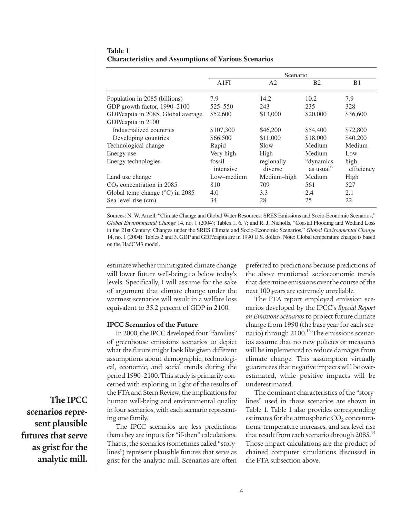|                                          |                     | Scenario              |                         |                    |
|------------------------------------------|---------------------|-----------------------|-------------------------|--------------------|
|                                          | A1FI                | A <sub>2</sub>        | B <sub>2</sub>          | B <sub>1</sub>     |
| Population in 2085 (billions)            | 7.9                 | 14.2                  | 10.2                    | 7.9                |
| GDP growth factor, 1990-2100             | $525 - 550$         | 243                   | 235                     | 328                |
| GDP/capita in 2085, Global average       | \$52,600            | \$13,000              | \$20,000                | \$36,600           |
| GDP/capita in 2100                       |                     |                       |                         |                    |
| Industrialized countries                 | \$107,300           | \$46,200              | \$54,400                | \$72,800           |
| Developing countries                     | \$66,500            | \$11,000              | \$18,000                | \$40,200           |
| Technological change                     | Rapid               | Slow                  | Medium                  | Medium             |
| Energy use                               | Very high           | High                  | Medium                  | Low                |
| Energy technologies                      | fossil<br>intensive | regionally<br>diverse | "dynamics"<br>as usual" | high<br>efficiency |
| Land use change                          | Low–medium          | Medium-high           | Medium                  | High               |
| CO <sub>2</sub> concentration in 2085    | 810                 | 709                   | 561                     | 527                |
| Global temp change $(^{\circ}C)$ in 2085 | 4.0                 | 3.3                   | 2.4                     | 2.1                |
| Sea level rise (cm)                      | 34                  | 28                    | 25                      | 22                 |

### **Table 1 Characteristics and Assumptions of Various Scenarios**

Sources: N. W. Arnell, "Climate Change and Global Water Resources: SRES Emissions and Socio-Economic Scenarios," *Global Environmental Change* 14, no. 1 (2004): Tables 1, 6, 7; and R. J. Nicholls, "Coastal Flooding and Wetland Loss in the 21st Century: Changes under the SRES Climate and Socio-Economic Scenarios," *Global Environmental Change* 14, no. 1 (2004): Tables 2 and 3. GDP and GDP/capita are in 1990 U.S. dollars. Note: Global temperature change is based on the HadCM3 model.

estimate whether unmitigated climate change will lower future well-being to below today's levels. Specifically, I will assume for the sake of argument that climate change under the warmest scenarios will result in a welfare loss equivalent to 35.2 percent of GDP in 2100.

#### **IPCC Scenarios of the Future**

In 2000, the IPCC developed four "families" of greenhouse emissions scenarios to depict what the future might look like given different assumptions about demographic, technological, economic, and social trends during the period 1990–2100. This study is primarily concerned with exploring, in light of the results of the FTA and Stern Review, the implications for human well-being and environmental quality in four scenarios, with each scenario representing one family.

The IPCC scenarios are less predictions than they are inputs for "if-then" calculations. That is, the scenarios (sometimes called "storylines") represent plausible futures that serve as grist for the analytic mill. Scenarios are often preferred to predictions because predictions of the above mentioned socioeconomic trends that determine emissions over the course of the next 100 years are extremely unreliable.

The FTA report employed emission scenarios developed by the IPCC's *Special Report on Emissions Scenarios*to project future climate change from 1990 (the base year for each scenario) through  $2100<sup>13</sup>$  The emissions scenarios assume that no new policies or measures will be implemented to reduce damages from climate change. This assumption virtually guarantees that negative impacts will be overestimated, while positive impacts will be underestimated.

The dominant characteristics of the "storylines" used in those scenarios are shown in Table 1. Table 1 also provides corresponding estimates for the atmospheric  $CO<sub>2</sub>$  concentrations, temperature increases, and sea level rise that result from each scenario through  $2085.^{14}$ Those impact calculations are the product of chained computer simulations discussed in the FTA subsection above.

**The IPCC scenarios represent plausible futures that serve as grist for the analytic mill.**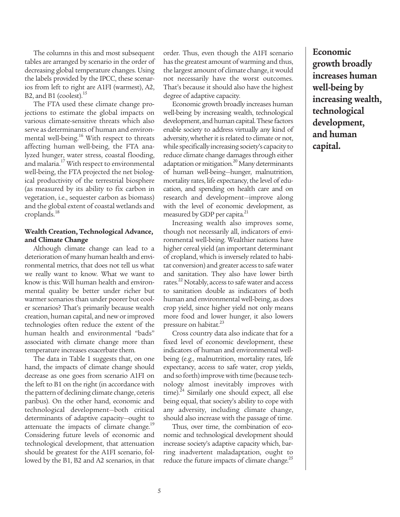The columns in this and most subsequent tables are arranged by scenario in the order of decreasing global temperature changes. Using the labels provided by the IPCC, these scenarios from left to right are A1FI (warmest), A2, B2, and B1 (coolest).<sup>15</sup>

The FTA used these climate change projections to estimate the global impacts on various climate-sensitive threats which also serve as determinants of human and environmental well-being.<sup>16</sup> With respect to threats affecting human well-being, the FTA analyzed hunger, water stress, coastal flooding, and malaria.<sup>17</sup> With respect to environmental well-being, the FTA projected the net biological productivity of the terrestrial biosphere (as measured by its ability to fix carbon in vegetation, i.e., sequester carbon as biomass) and the global extent of coastal wetlands and croplands.18

### **Wealth Creation, Technological Advance, and Climate Change**

Although climate change can lead to a deterioration of many human health and environmental metrics, that does not tell us what we really want to know. What we want to know is this: Will human health and environmental quality be better under richer but warmer scenarios than under poorer but cooler scenarios? That's primarily because wealth creation, human capital, and new or improved technologies often reduce the extent of the human health and environmental "bads" associated with climate change more than temperature increases exacerbate them.

The data in Table 1 suggests that, on one hand, the impacts of climate change should decrease as one goes from scenario A1FI on the left to B1 on the right (in accordance with the pattern of declining climate change, ceteris paribus). On the other hand, economic and technological development—both critical determinants of adaptive capacity—ought to attenuate the impacts of climate change.<sup>19</sup> Considering future levels of economic and technological development, that attenuation should be greatest for the A1FI scenario, followed by the B1, B2 and A2 scenarios, in that order. Thus, even though the A1FI scenario has the greatest amount of warming and thus, the largest amount of climate change, it would not necessarily have the worst outcomes. That's because it should also have the highest degree of adaptive capacity.

Economic growth broadly increases human well-being by increasing wealth, technological development, and human capital. These factors enable society to address virtually any kind of adversity, whether it is related to climate or not, while specifically increasing society's capacity to reduce climate change damages through either adaptation or mitigation.<sup>20</sup> Many determinants of human well-being—hunger, malnutrition, mortality rates, life expectancy, the level of education, and spending on health care and on research and development—improve along with the level of economic development, as measured by GDP per capita.<sup>21</sup>

Increasing wealth also improves some, though not necessarily all, indicators of environmental well-being. Wealthier nations have higher cereal yield (an important determinant of cropland, which is inversely related to habitat conversion) and greater access to safe water and sanitation. They also have lower birth rates.<sup>22</sup> Notably, access to safe water and access to sanitation double as indicators of both human and environmental well-being, as does crop yield, since higher yield not only means more food and lower hunger, it also lowers pressure on habitat.<sup>23</sup>

Cross country data also indicate that for a fixed level of economic development, these indicators of human and environmental wellbeing (e.g., malnutrition, mortality rates, life expectancy, access to safe water, crop yields, and so forth) improve with time (because technology almost inevitably improves with time).<sup>24</sup> Similarly one should expect, all else being equal, that society's ability to cope with any adversity, including climate change, should also increase with the passage of time.

Thus, over time, the combination of economic and technological development should increase society's adaptive capacity which, barring inadvertent maladaptation, ought to reduce the future impacts of climate change.<sup>25</sup>

**Economic growth broadly increases human well-being by increasing wealth, technological development, and human capital.**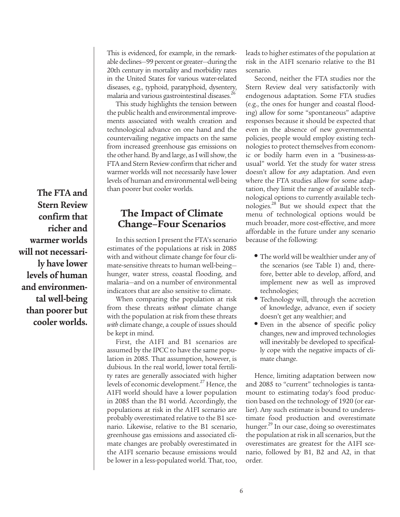**The FTA and Stern Review confirm that richer and warmer worlds will not necessarily have lower levels of human and environmental well-being than poorer but cooler worlds.**

This is evidenced, for example, in the remarkable declines—99 percent or greater—during the 20th century in mortality and morbidity rates in the United States for various water-related diseases, e.g., typhoid, paratyphoid, dysentery, malaria and various gastrointestinal diseases.26

This study highlights the tension between the public health and environmental improvements associated with wealth creation and technological advance on one hand and the countervailing negative impacts on the same from increased greenhouse gas emissions on the other hand. By and large, as I will show, the FTA and Stern Review confirm that richer and warmer worlds will not necessarily have lower levels of human and environmental well-being than poorer but cooler worlds.

# **The Impact of Climate Change–Four Scenarios**

In this section I present the FTA's scenario estimates of the populations at risk in 2085 with and without climate change for four climate-sensitive threats to human well-being hunger, water stress, coastal flooding, and malaria—and on a number of environmental indicators that are also sensitive to climate.

When comparing the population at risk from these threats *without* climate change with the population at risk from these threats *with* climate change, a couple of issues should be kept in mind.

First, the A1FI and B1 scenarios are assumed by the IPCC to have the same population in 2085. That assumption, however, is dubious. In the real world, lower total fertility rates are generally associated with higher levels of economic development.<sup>27</sup> Hence, the A1FI world should have a lower population in 2085 than the B1 world. Accordingly, the populations at risk in the A1FI scenario are probably overestimated relative to the B1 scenario. Likewise, relative to the B1 scenario, greenhouse gas emissions and associated climate changes are probably overestimated in the A1FI scenario because emissions would be lower in a less-populated world. That, too, leads to higher estimates of the population at risk in the A1FI scenario relative to the B1 scenario.

Second, neither the FTA studies nor the Stern Review deal very satisfactorily with endogenous adaptation. Some FTA studies (e.g., the ones for hunger and coastal flooding) allow for some "spontaneous" adaptive responses because it should be expected that even in the absence of new governmental policies, people would employ existing technologies to protect themselves from economic or bodily harm even in a "business-asusual" world. Yet the study for water stress doesn't allow for *any* adaptation. And even where the FTA studies allow for some adaptation, they limit the range of available technological options to currently available technologies.28 But we should expect that the menu of technological options would be much broader, more cost-effective, and more affordable in the future under any scenario because of the following:

- The world will be wealthier under any of the scenarios (see Table 1) and, therefore, better able to develop, afford, and implement new as well as improved technologies;
- Technology will, through the accretion of knowledge, advance, even if society doesn't get any wealthier; and
- Even in the absence of specific policy changes, new and improved technologies will inevitably be developed to specifically cope with the negative impacts of climate change.

Hence, limiting adaptation between now and 2085 to "current" technologies is tantamount to estimating today's food production based on the technology of 1920 (or earlier). Any such estimate is bound to underestimate food production and overestimate hunger.<sup>29</sup> In our case, doing so overestimates the population at risk in all scenarios, but the overestimates are greatest for the A1FI scenario, followed by B1, B2 and A2, in that order.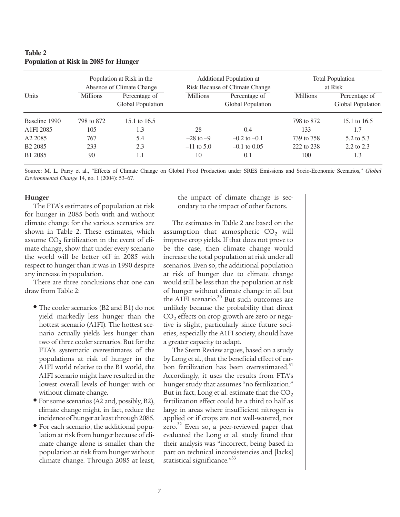### **Table 2 Population at Risk in 2085 for Hunger**

|                     |                 | Population at Risk in the<br>Absence of Climate Change |                 | Additional Population at<br>Risk Because of Climate Change |                 | <b>Total Population</b><br>at Risk |
|---------------------|-----------------|--------------------------------------------------------|-----------------|------------------------------------------------------------|-----------------|------------------------------------|
| <b>Units</b>        | <b>Millions</b> | Percentage of<br>Global Population                     | <b>Millions</b> | Percentage of<br>Global Population                         | <b>Millions</b> | Percentage of<br>Global Population |
| Baseline 1990       | 798 to 872      | 15.1 to 16.5                                           |                 |                                                            | 798 to 872      | 15.1 to 16.5                       |
| A1FI 2085           | 105             | 1.3                                                    | 28              | 0.4                                                        | 133             | 1.7                                |
| A <sub>2</sub> 2085 | 767             | 5.4                                                    | $-28$ to $-9$   | $-0.2$ to $-0.1$                                           | 739 to 758      | 5.2 to 5.3                         |
| B <sub>2</sub> 2085 | 233             | 2.3                                                    | $-11$ to 5.0    | $-0.1$ to 0.05                                             | 222 to 238      | 2.2 to 2.3                         |
| B1 2085             | 90              | 1.1                                                    | 10              | 0.1                                                        | 100             | 1.3                                |

Source: M. L. Parry et al., "Effects of Climate Change on Global Food Production under SRES Emissions and Socio-Economic Scenarios," *Global Environmental Change* 14, no. 1 (2004): 53–67.

#### **Hunger**

The FTA's estimates of population at risk for hunger in 2085 both with and without climate change for the various scenarios are shown in Table 2. These estimates, which assume  $CO<sub>2</sub>$  fertilization in the event of climate change, show that under every scenario the world will be better off in 2085 with respect to hunger than it was in 1990 despite any increase in population.

There are three conclusions that one can draw from Table 2:

- The cooler scenarios (B2 and B1) do not yield markedly less hunger than the hottest scenario (A1FI). The hottest scenario actually yields less hunger than two of three cooler scenarios. But for the FTA's systematic overestimates of the populations at risk of hunger in the A1FI world relative to the B1 world, the A1FI scenario might have resulted in the lowest overall levels of hunger with or without climate change.
- For some scenarios (A2 and, possibly, B2), climate change might, in fact, reduce the incidence of hunger at least through 2085.
- For each scenario, the additional population at risk from hunger because of climate change alone is smaller than the population at risk from hunger without climate change. Through 2085 at least,

the impact of climate change is secondary to the impact of other factors.

The estimates in Table 2 are based on the assumption that atmospheric  $CO<sub>2</sub>$  will improve crop yields. If that does not prove to be the case, then climate change would increase the total population at risk under all scenarios. Even so, the additional population at risk of hunger due to climate change would still be less than the population at risk of hunger without climate change in all but the A1FI scenario.<sup>30</sup> But such outcomes are unlikely because the probability that direct  $CO<sub>2</sub>$  effects on crop growth are zero or negative is slight, particularly since future societies, especially the A1FI society, should have a greater capacity to adapt.

The Stern Review argues, based on a study by Long et al., that the beneficial effect of carbon fertilization has been overestimated.<sup>31</sup> Accordingly, it uses the results from FTA's hunger study that assumes "no fertilization." But in fact, Long et al. estimate that the  $CO<sub>2</sub>$ fertilization effect could be a third to half as large in areas where insufficient nitrogen is applied or if crops are not well-watered, not zero.<sup>32</sup> Even so, a peer-reviewed paper that evaluated the Long et al. study found that their analysis was "incorrect, being based in part on technical inconsistencies and [lacks] statistical significance."<sup>33</sup>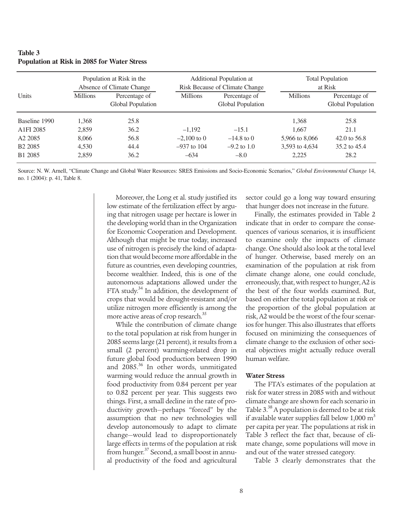| Table 3                                            |
|----------------------------------------------------|
| <b>Population at Risk in 2085 for Water Stress</b> |

|                     |                 | Population at Risk in the<br>Absence of Climate Change |                 | Additional Population at<br>Risk Because of Climate Change |                 | <b>Total Population</b><br>at Risk |
|---------------------|-----------------|--------------------------------------------------------|-----------------|------------------------------------------------------------|-----------------|------------------------------------|
| Units               | <b>Millions</b> | Percentage of<br>Global Population                     | <b>Millions</b> | Percentage of<br>Global Population                         | <b>Millions</b> | Percentage of<br>Global Population |
| Baseline 1990       | 1,368           | 25.8                                                   |                 |                                                            | 1.368           | 25.8                               |
| A1FI 2085           | 2,859           | 36.2                                                   | $-1.192$        | $-15.1$                                                    | 1.667           | 21.1                               |
| A <sub>2</sub> 2085 | 8,066           | 56.8                                                   | $-2,100$ to 0   | $-14.8$ to 0                                               | 5,966 to 8,066  | 42.0 to $56.8$                     |
| B <sub>2</sub> 2085 | 4,530           | 44.4                                                   | $-937$ to 104   | $-9.2$ to 1.0                                              | 3,593 to 4,634  | 35.2 to 45.4                       |
| B1 2085             | 2,859           | 36.2                                                   | $-634$          | $-8.0$                                                     | 2,225           | 28.2                               |

Source: N. W. Arnell, "Climate Change and Global Water Resources: SRES Emissions and Socio-Economic Scenarios," *Global Environmental Change* 14, no. 1 (2004): p. 41, Table 8.

> Moreover, the Long et al. study justified its low estimate of the fertilization effect by arguing that nitrogen usage per hectare is lower in the developing world than in the Organization for Economic Cooperation and Development. Although that might be true today, increased use of nitrogen is precisely the kind of adaptation that would become more affordable in the future as countries, even developing countries, become wealthier. Indeed, this is one of the autonomous adaptations allowed under the FTA study.<sup>34</sup> In addition, the development of crops that would be drought-resistant and/or utilize nitrogen more efficiently is among the more active areas of crop research.<sup>35</sup>

> While the contribution of climate change to the total population at risk from hunger in 2085 seems large (21 percent), it results from a small (2 percent) warming-related drop in future global food production between 1990 and 2085.<sup>36</sup> In other words, unmitigated warming would reduce the annual growth in food productivity from 0.84 percent per year to 0.82 percent per year. This suggests two things. First, a small decline in the rate of productivity growth—perhaps "forced" by the assumption that no new technologies will develop autonomously to adapt to climate change—would lead to disproportionately large effects in terms of the population at risk from hunger.<sup>37</sup> Second, a small boost in annual productivity of the food and agricultural

sector could go a long way toward ensuring that hunger does not increase in the future.

Finally, the estimates provided in Table 2 indicate that in order to compare the consequences of various scenarios, it is insufficient to examine only the impacts of climate change. One should also look at the total level of hunger. Otherwise, based merely on an examination of the population at risk from climate change alone, one could conclude, erroneously, that, with respect to hunger, A2 is the best of the four worlds examined. But, based on either the total population at risk or the proportion of the global population at risk, A2 would be the worst of the four scenarios for hunger. This also illustrates that efforts focused on minimizing the consequences of climate change to the exclusion of other societal objectives might actually reduce overall human welfare.

#### **Water Stress**

The FTA's estimates of the population at risk for water stress in 2085 with and without climate change are shown for each scenario in Table  $3^{38}$  A population is deemed to be at risk if available water supplies fall below  $1,000 \text{ m}^3$ per capita per year. The populations at risk in Table 3 reflect the fact that, because of climate change, some populations will move in and out of the water stressed category.

Table 3 clearly demonstrates that the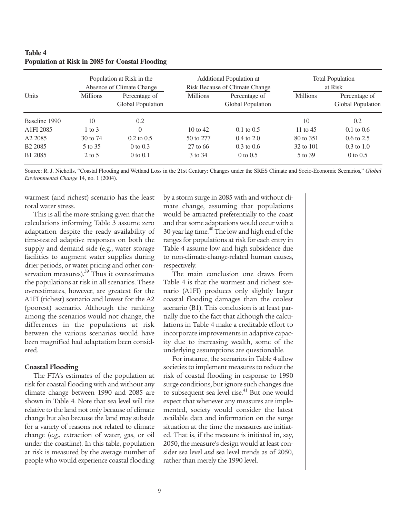### **Table 4 Population at Risk in 2085 for Coastal Flooding**

|                     |                   | Population at Risk in the<br>Absence of Climate Change |                 | Additional Population at<br>Risk Because of Climate Change |                 | <b>Total Population</b><br>at Risk |
|---------------------|-------------------|--------------------------------------------------------|-----------------|------------------------------------------------------------|-----------------|------------------------------------|
| <b>Units</b>        | <b>Millions</b>   | Percentage of<br>Global Population                     | <b>Millions</b> | Percentage of<br>Global Population                         | <b>Millions</b> | Percentage of<br>Global Population |
| Baseline 1990       | 10                | 0.2                                                    |                 |                                                            | 10              | 0.2                                |
| A1FI 2085           | $1 \text{ to } 3$ | $\theta$                                               | $10$ to $42$    | $0.1 \text{ to } 0.5$                                      | 11 to $45$      | $0.1 \text{ to } 0.6$              |
| A <sub>2</sub> 2085 | 30 to 74          | $0.2 \text{ to } 0.5$                                  | 50 to 277       | $0.4 \text{ to } 2.0$                                      | 80 to 351       | $0.6 \text{ to } 2.5$              |
| B <sub>2</sub> 2085 | 5 to 35           | 0 to $0.3$                                             | 27 to 66        | $0.3 \text{ to } 0.6$                                      | 32 to 101       | $0.3 \text{ to } 1.0$              |
| B1 2085             | $2$ to 5          | $0$ to $0.1$                                           | 3 to 34         | 0 to $0.5$                                                 | 5 to 39         | 0 to $0.5$                         |

Source: R. J. Nicholls, "Coastal Flooding and Wetland Loss in the 21st Century: Changes under the SRES Climate and Socio-Economic Scenarios," *Global Environmental Change* 14, no. 1 (2004).

warmest (and richest) scenario has the least total water stress.

This is all the more striking given that the calculations informing Table 3 assume zero adaptation despite the ready availability of time-tested adaptive responses on both the supply and demand side (e.g., water storage facilities to augment water supplies during drier periods, or water pricing and other conservation measures).<sup>39</sup> Thus it overestimates the populations at risk in all scenarios. These overestimates, however, are greatest for the A1FI (richest) scenario and lowest for the A2 (poorest) scenario. Although the ranking among the scenarios would not change, the differences in the populations at risk between the various scenarios would have been magnified had adaptation been considered.

### **Coastal Flooding**

The FTA's estimates of the population at risk for coastal flooding with and without any climate change between 1990 and 2085 are shown in Table 4. Note that sea level will rise relative to the land not only because of climate change but also because the land may subside for a variety of reasons not related to climate change (e.g., extraction of water, gas, or oil under the coastline). In this table, population at risk is measured by the average number of people who would experience coastal flooding

by a storm surge in 2085 with and without climate change, assuming that populations would be attracted preferentially to the coast and that some adaptations would occur with a 30-year lag time. $40$  The low and high end of the ranges for populations at risk for each entry in Table 4 assume low and high subsidence due to non-climate-change-related human causes, respectively.

The main conclusion one draws from Table 4 is that the warmest and richest scenario (A1FI) produces only slightly larger coastal flooding damages than the coolest scenario (B1). This conclusion is at least partially due to the fact that although the calculations in Table 4 make a creditable effort to incorporate improvements in adaptive capacity due to increasing wealth, some of the underlying assumptions are questionable.

For instance, the scenarios in Table 4 allow societies to implement measures to reduce the risk of coastal flooding in response to 1990 surge conditions, but ignore such changes due to subsequent sea level rise.<sup>41</sup> But one would expect that whenever any measures are implemented, society would consider the latest available data and information on the surge situation at the time the measures are initiated. That is, if the measure is initiated in, say, 2050, the measure's design would at least consider sea level *and* sea level trends as of 2050, rather than merely the 1990 level.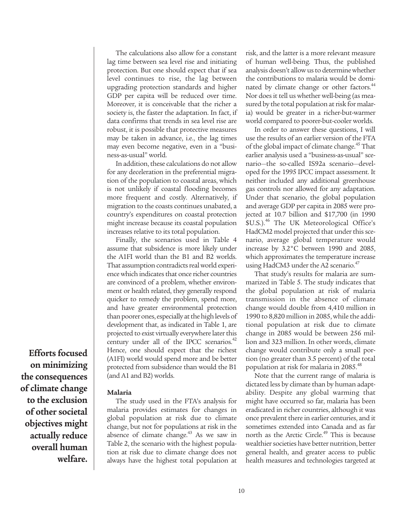The calculations also allow for a constant lag time between sea level rise and initiating protection. But one should expect that if sea level continues to rise, the lag between upgrading protection standards and higher GDP per capita will be reduced over time. Moreover, it is conceivable that the richer a society is, the faster the adaptation. In fact, if data confirms that trends in sea level rise are robust, it is possible that protective measures may be taken in advance, i.e., the lag times may even become negative, even in a "business-as-usual" world.

In addition, these calculations do not allow for any deceleration in the preferential migration of the population to coastal areas, which is not unlikely if coastal flooding becomes more frequent and costly. Alternatively, if migration to the coasts continues unabated, a country's expenditures on coastal protection might increase because its coastal population increases relative to its total population.

Finally, the scenarios used in Table 4 assume that subsidence is more likely under the A1FI world than the B1 and B2 worlds. That assumption contradicts real world experience which indicates that once richer countries are convinced of a problem, whether environment or health related, they generally respond quicker to remedy the problem, spend more, and have greater environmental protection than poorer ones, especially at the high levels of development that, as indicated in Table 1, are projected to exist virtually everywhere later this century under all of the IPCC scenarios. $42$ Hence, one should expect that the richest (A1FI) world would spend more and be better protected from subsidence than would the B1 (and A1 and B2) worlds.

#### **Malaria**

The study used in the FTA's analysis for malaria provides estimates for changes in global population at risk due to climate change, but not for populations at risk in the absence of climate change.<sup>43</sup> As we saw in Table 2, the scenario with the highest population at risk due to climate change does not always have the highest total population at risk, and the latter is a more relevant measure of human well-being. Thus, the published analysis doesn't allow us to determine whether the contributions to malaria would be dominated by climate change or other factors.<sup>44</sup> Nor does it tell us whether well-being (as measured by the total population at risk for malaria) would be greater in a richer-but-warmer world compared to poorer-but-cooler worlds.

In order to answer these questions, I will use the results of an earlier version of the FTA of the global impact of climate change.<sup>45</sup> That earlier analysis used a "business-as-usual" scenario—the so-called IS92a scenario—developed for the 1995 IPCC impact assessment. It neither included any additional greenhouse gas controls nor allowed for any adaptation. Under that scenario, the global population and average GDP per capita in 2085 were projected at 10.7 billion and \$17,700 (in 1990 \$U.S.).<sup>46</sup> The UK Meteorological Office's HadCM2 model projected that under this scenario, average global temperature would increase by 3.2°C between 1990 and 2085, which approximates the temperature increase using HadCM3 under the A2 scenario.<sup>47</sup>

That study's results for malaria are summarized in Table 5. The study indicates that the global population at risk of malaria transmission in the absence of climate change would double from 4,410 million in 1990 to 8,820 million in 2085, while the additional population at risk due to climate change in 2085 would be between 256 million and 323 million. In other words, climate change would contribute only a small portion (no greater than 3.5 percent) of the total population at risk for malaria in 2085.48

Note that the current range of malaria is dictated less by climate than by human adaptability. Despite any global warming that might have occurred so far, malaria has been eradicated in richer countries, although it was once prevalent there in earlier centuries, and it sometimes extended into Canada and as far north as the Arctic Circle.<sup>49</sup> This is because wealthier societies have better nutrition, better general health, and greater access to public health measures and technologies targeted at

**Efforts focused on minimizing the consequences of climate change to the exclusion of other societal objectives might actually reduce overall human welfare.**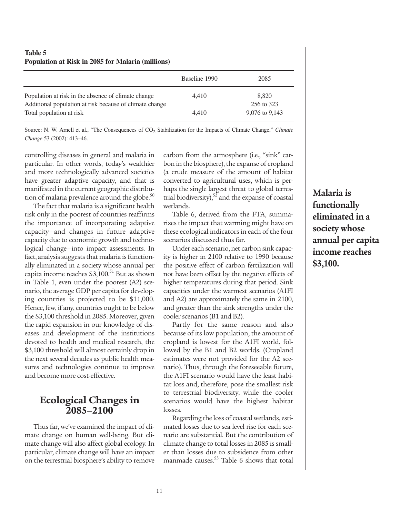| Table 5<br>Population at Risk in 2085 for Malaria (millions)                                                   |               |                     |
|----------------------------------------------------------------------------------------------------------------|---------------|---------------------|
|                                                                                                                | Baseline 1990 | 2085                |
| Population at risk in the absence of climate change<br>Additional population at risk because of climate change | 4.410         | 8.820<br>256 to 323 |
| Total population at risk                                                                                       | 4.410         | 9,076 to 9,143      |

Source: N. W. Arnell et al., "The Consequences of CO<sub>2</sub> Stabilization for the Impacts of Climate Change," *Climate Change* 53 (2002): 413–46.

controlling diseases in general and malaria in particular. In other words, today's wealthier and more technologically advanced societies have greater adaptive capacity, and that is manifested in the current geographic distribution of malaria prevalence around the globe.<sup>50</sup>

The fact that malaria is a significant health risk only in the poorest of countries reaffirms the importance of incorporating adaptive capacity—and changes in future adaptive capacity due to economic growth and technological change—into impact assessments. In fact, analysis suggests that malaria is functionally eliminated in a society whose annual per capita income reaches  $$3,100$ .<sup>51</sup> But as shown in Table 1, even under the poorest (A2) scenario, the average GDP per capita for developing countries is projected to be \$11,000. Hence, few, if any, countries ought to be below the \$3,100 threshold in 2085. Moreover, given the rapid expansion in our knowledge of diseases and development of the institutions devoted to health and medical research, the \$3,100 threshold will almost certainly drop in the next several decades as public health measures and technologies continue to improve and become more cost-effective.

## **Ecological Changes in 2085–2100**

Thus far, we've examined the impact of climate change on human well-being. But climate change will also affect global ecology. In particular, climate change will have an impact on the terrestrial biosphere's ability to remove

carbon from the atmosphere (i.e., "sink" carbon in the biosphere), the expanse of cropland (a crude measure of the amount of habitat converted to agricultural uses, which is perhaps the single largest threat to global terrestrial biodiversity), $52$  and the expanse of coastal wetlands.

Table 6, derived from the FTA, summarizes the impact that warming might have on these ecological indicators in each of the four scenarios discussed thus far.

Under each scenario, net carbon sink capacity is higher in 2100 relative to 1990 because the positive effect of carbon fertilization will not have been offset by the negative effects of higher temperatures during that period. Sink capacities under the warmest scenarios (A1FI and A2) are approximately the same in 2100, and greater than the sink strengths under the cooler scenarios (B1 and B2).

Partly for the same reason and also because of its low population, the amount of cropland is lowest for the A1FI world, followed by the B1 and B2 worlds. (Cropland estimates were not provided for the A2 scenario). Thus, through the foreseeable future, the A1FI scenario would have the least habitat loss and, therefore, pose the smallest risk to terrestrial biodiversity, while the cooler scenarios would have the highest habitat losses.

Regarding the loss of coastal wetlands, estimated losses due to sea level rise for each scenario are substantial. But the contribution of climate change to total losses in 2085 is smaller than losses due to subsidence from other manmade causes. $53$  Table 6 shows that total

**Malaria is functionally eliminated in a society whose annual per capita income reaches \$3,100.**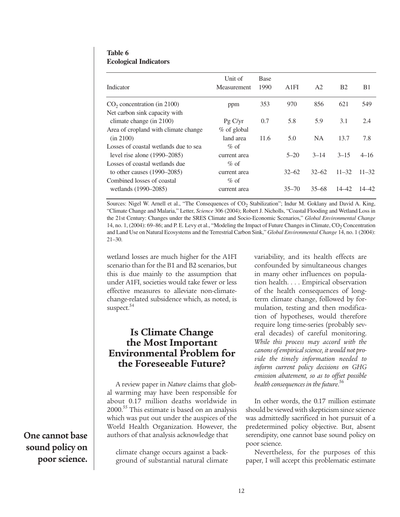### **Table 6 Ecological Indicators**

| Indicator                             | Unit of<br><b>Measurement</b> | <b>Base</b><br>1990 | A1FI      | A <sub>2</sub> | B <sub>2</sub> | B <sub>1</sub> |
|---------------------------------------|-------------------------------|---------------------|-----------|----------------|----------------|----------------|
| $CO2$ concentration (in 2100)         | ppm                           | 353                 | 970       | 856            | 621            | 549            |
| Net carbon sink capacity with         |                               |                     |           |                |                |                |
| climate change (in 2100)              | PgC/yr                        | 0.7                 | 5.8       | 5.9            | 3.1            | 2.4            |
| Area of cropland with climate change  | % of global                   |                     |           |                |                |                |
| (in 2100)                             | land area                     | 11.6                | 5.0       | <b>NA</b>      | 13.7           | 7.8            |
| Losses of coastal wetlands due to sea | $\%$ of                       |                     |           |                |                |                |
| level rise alone $(1990-2085)$        | current area                  |                     | $5 - 20$  | $3 - 14$       | $3 - 15$       | $4 - 16$       |
| Losses of coastal wetlands due        | $\%$ of                       |                     |           |                |                |                |
| to other causes $(1990-2085)$         | current area                  |                     | $32 - 62$ | $32 - 62$      | $11 - 32$      | $11 - 32$      |
| Combined losses of coastal            | $\%$ of                       |                     |           |                |                |                |
| wetlands (1990–2085)                  | current area                  |                     | $35 - 70$ | $35 - 68$      | 14–42          | 14–42.         |

Sources: Nigel W. Arnell et al., "The Consequences of CO<sub>2</sub> Stabilization"; Indur M. Goklany and David A. King, "Climate Change and Malaria," Letter, *Science* 306 (2004); Robert J. Nicholls, "Coastal Flooding and Wetland Loss in the 21st Century: Changes under the SRES Climate and Socio-Economic Scenarios," *Global Environmental Change* 14, no. 1, (2004): 69–86; and P. E. Levy et al., "Modeling the Impact of Future Changes in Climate, CO<sub>2</sub> Concentration and Land Use on Natural Ecosystems and the Terrestrial Carbon Sink," *Global Environmental Change* 14, no. 1 (2004): 21–30.

wetland losses are much higher for the A1FI scenario than for the B1 and B2 scenarios, but this is due mainly to the assumption that under A1FI, societies would take fewer or less effective measures to alleviate non-climatechange-related subsidence which, as noted, is suspect.<sup>54</sup>

# **Is Climate Change the Most Important Environmental Problem for the Foreseeable Future?**

A review paper in *Nature* claims that global warming may have been responsible for about 0.17 million deaths worldwide in 2000.<sup>55</sup> This estimate is based on an analysis which was put out under the auspices of the World Health Organization. However, the authors of that analysis acknowledge that

climate change occurs against a background of substantial natural climate variability, and its health effects are confounded by simultaneous changes in many other influences on population health. . . . Empirical observation of the health consequences of longterm climate change, followed by formulation, testing and then modification of hypotheses, would therefore require long time-series (probably several decades) of careful monitoring. *While this process may accord with the canons of empirical science, it would not provide the timely information needed to inform current policy decisions on GHG emission abatement, so as to offset possible health consequences in the future*. 56

In other words, the 0.17 million estimate should be viewed with skepticism since science was admittedly sacrificed in hot pursuit of a predetermined policy objective. But, absent serendipity, one cannot base sound policy on poor science.

Nevertheless, for the purposes of this paper, I will accept this problematic estimate

**One cannot base sound policy on poor science.**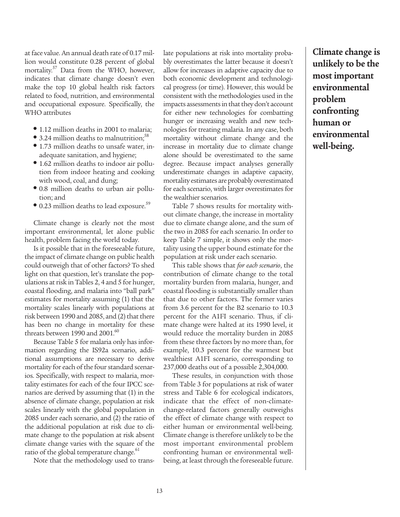at face value. An annual death rate of 0.17 million would constitute 0.28 percent of global mortality.57 Data from the WHO, however, indicates that climate change doesn't even make the top 10 global health risk factors related to food, nutrition, and environmental and occupational exposure. Specifically, the WHO attributes

- 1.12 million deaths in 2001 to malaria;
- 3.24 million deaths to malnutrition;<sup>58</sup>
- 1.73 million deaths to unsafe water, inadequate sanitation, and hygiene;
- 1.62 million deaths to indoor air pollution from indoor heating and cooking with wood, coal, and dung;
- 0.8 million deaths to urban air pollution; and
- 0.23 million deaths to lead exposure.<sup>59</sup>

Climate change is clearly not the most important environmental, let alone public health, problem facing the world today.

Is it possible that in the foreseeable future, the impact of climate change on public health could outweigh that of other factors? To shed light on that question, let's translate the populations at risk in Tables 2, 4 and 5 for hunger, coastal flooding, and malaria into "ball park" estimates for mortality assuming (1) that the mortality scales linearly with populations at risk between 1990 and 2085, and (2) that there has been no change in mortality for these threats between 1990 and  $2001.^{60}$ 

Because Table 5 for malaria only has information regarding the IS92a scenario, additional assumptions are necessary to derive mortality for each of the four standard scenarios. Specifically, with respect to malaria, mortality estimates for each of the four IPCC scenarios are derived by assuming that (1) in the absence of climate change, population at risk scales linearly with the global population in 2085 under each scenario, and (2) the ratio of the additional population at risk due to climate change to the population at risk absent climate change varies with the square of the ratio of the global temperature change.<sup>61</sup>

Note that the methodology used to trans-

late populations at risk into mortality probably overestimates the latter because it doesn't allow for increases in adaptive capacity due to both economic development and technological progress (or time). However, this would be consistent with the methodologies used in the impacts assessments in that they don't account for either new technologies for combatting hunger or increasing wealth and new technologies for treating malaria. In any case, both mortality without climate change and the increase in mortality due to climate change alone should be overestimated to the same degree. Because impact analyses generally underestimate changes in adaptive capacity, mortality estimates are probably overestimated for each scenario, with larger overestimates for the wealthier scenarios.

Table 7 shows results for mortality without climate change, the increase in mortality due to climate change alone, and the sum of the two in 2085 for each scenario. In order to keep Table 7 simple, it shows only the mortality using the upper bound estimate for the population at risk under each scenario.

This table shows that *for each scenario*, the contribution of climate change to the total mortality burden from malaria, hunger, and coastal flooding is substantially smaller than that due to other factors. The former varies from 3.6 percent for the B2 scenario to 10.3 percent for the A1FI scenario. Thus, if climate change were halted at its 1990 level, it would reduce the mortality burden in 2085 from these three factors by no more than, for example, 10.3 percent for the warmest but wealthiest A1FI scenario, corresponding to 237,000 deaths out of a possible 2,304,000.

These results, in conjunction with those from Table 3 for populations at risk of water stress and Table 6 for ecological indicators, indicate that the effect of non-climatechange-related factors generally outweighs the effect of climate change with respect to either human or environmental well-being. Climate change is therefore unlikely to be the most important environmental problem confronting human or environmental wellbeing, at least through the foreseeable future.

**Climate change is unlikely to be the most important environmental problem confronting human or environmental well-being.**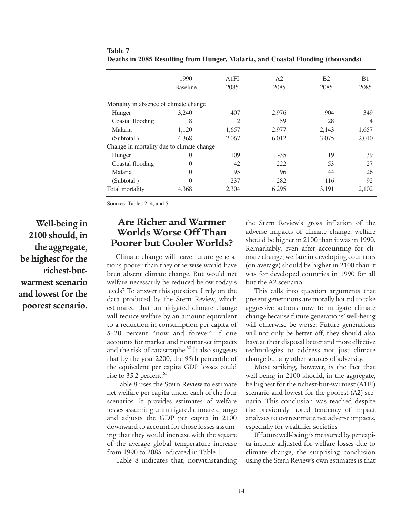|                                           | 1990<br><b>Baseline</b> | A1FI<br>2085 | A <sub>2</sub><br>2085 | <b>B2</b><br>2085 | B <sub>1</sub><br>2085 |
|-------------------------------------------|-------------------------|--------------|------------------------|-------------------|------------------------|
| Mortality in absence of climate change.   |                         |              |                        |                   |                        |
| Hunger                                    | 3,240                   | 407          | 2,976                  | 904               | 349                    |
| Coastal flooding                          | 8                       | 2            | 59                     | 28                | 4                      |
| Malaria                                   | 1,120                   | 1,657        | 2,977                  | 2,143             | 1,657                  |
| (Subtotal)                                | 4,368                   | 2,067        | 6,012                  | 3,075             | 2,010                  |
| Change in mortality due to climate change |                         |              |                        |                   |                        |
| Hunger                                    | 0                       | 109          | $-35$                  | 19                | 39                     |
| Coastal flooding                          | $\Omega$                | 42           | 222                    | 53                | 27                     |
| Malaria                                   | 0                       | 95           | 96                     | 44                | 26                     |
| (Subtotal)                                | 0                       | 237          | 282                    | 116               | 92                     |
| Total mortality                           | 4,368                   | 2,304        | 6,295                  | 3,191             | 2,102                  |

**Table 7 Deaths in 2085 Resulting from Hunger, Malaria, and Coastal Flooding (thousands)**

Sources: Tables 2, 4, and 5.

**Well-being in 2100 should, in the aggregate, be highest for the richest-butwarmest scenario and lowest for the poorest scenario.**

# **Are Richer and Warmer Worlds Worse Off Than Poorer but Cooler Worlds?**

Climate change will leave future generations poorer than they otherwise would have been absent climate change. But would net welfare necessarily be reduced below today's levels? To answer this question, I rely on the data produced by the Stern Review, which estimated that unmitigated climate change will reduce welfare by an amount equivalent to a reduction in consumption per capita of 5–20 percent "now and forever" if one accounts for market and nonmarket impacts and the risk of catastrophe. $62$  It also suggests that by the year 2200, the 95th percentile of the equivalent per capita GDP losses could rise to 35.2 percent.<sup>63</sup>

Table 8 uses the Stern Review to estimate net welfare per capita under each of the four scenarios. It provides estimates of welfare losses assuming unmitigated climate change and adjusts the GDP per capita in 2100 downward to account for those losses assuming that they would increase with the square of the average global temperature increase from 1990 to 2085 indicated in Table 1.

Table 8 indicates that, notwithstanding

the Stern Review's gross inflation of the adverse impacts of climate change, welfare should be higher in 2100 than it was in 1990. Remarkably, even after accounting for climate change, welfare in developing countries (on average) should be higher in 2100 than it was for developed countries in 1990 for all but the A2 scenario.

This calls into question arguments that present generations are morally bound to take aggressive actions now to mitigate climate change because future generations' well-being will otherwise be worse. Future generations will not only be better off, they should also have at their disposal better and more effective technologies to address not just climate change but any other sources of adversity.

Most striking, however, is the fact that well-being in 2100 should, in the aggregate, be highest for the richest-but-warmest (A1FI) scenario and lowest for the poorest (A2) scenario. This conclusion was reached despite the previously noted tendency of impact analyses to overestimate net adverse impacts, especially for wealthier societies.

If future well-being is measured by per capita income adjusted for welfare losses due to climate change, the surprising conclusion using the Stern Review's own estimates is that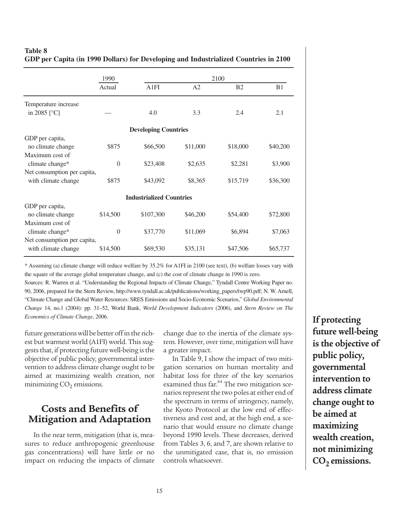|                                   | 1990     |                                 |                | 2100           |                |
|-----------------------------------|----------|---------------------------------|----------------|----------------|----------------|
|                                   | Actual   | A1FI                            | A <sub>2</sub> | B <sub>2</sub> | B <sub>1</sub> |
| Temperature increase              |          |                                 |                |                |                |
| in 2085 $\lceil \degree C \rceil$ |          | 4.0                             | 3.3            | 2.4            | 2.1            |
|                                   |          | <b>Developing Countries</b>     |                |                |                |
| GDP per capita,                   |          |                                 |                |                |                |
| no climate change                 | \$875    | \$66,500                        | \$11,000       | \$18,000       | \$40,200       |
| Maximum cost of                   |          |                                 |                |                |                |
| climate change*                   | $\Omega$ | \$23,408                        | \$2,635        | \$2,281        | \$3,900        |
| Net consumption per capita,       |          |                                 |                |                |                |
| with climate change               | \$875    | \$43,092                        | \$8,365        | \$15,719       | \$36,300       |
|                                   |          | <b>Industrialized Countries</b> |                |                |                |
| GDP per capita,                   |          |                                 |                |                |                |
| no climate change                 | \$14,500 | \$107,300                       | \$46,200       | \$54,400       | \$72,800       |
| Maximum cost of                   |          |                                 |                |                |                |
| climate change*                   | $\theta$ | \$37,770                        | \$11,069       | \$6,894        | \$7,063        |
| Net consumption per capita,       |          |                                 |                |                |                |
| with climate change               | \$14,500 | \$69,530                        | \$35,131       | \$47,506       | \$65,737       |
|                                   |          |                                 |                |                |                |

### **Table 8 GDP per Capita (in 1990 Dollars) for Developing and Industrialized Countries in 2100**

\* Assuming (a) climate change will reduce welfare by 35.2% for A1FI in 2100 (see text), (b) welfare losses vary with the square of the average global temperature change, and (c) the cost of climate change in 1990 is zero.

Sources: R. Warren et al. "Understanding the Regional Impacts of Climate Change," Tyndall Centre Working Paper no. 90, 2006, prepared for the Stern Review, http://www.tyndall.ac.uk/publications/working\_papers/twp90.pdf; N. W. Arnell, "Climate Change and Global Water Resources: SRES Emissions and Socio-Economic Scenarios," *Global Environmental Change* 14, no.1 (2004): pp. 31–52, World Bank, *World Development Indicators* (2006), and *Stern Review on The Economics of Climate Change*, 2006.

future generations will be better off in the richest but warmest world (A1FI) world. This suggests that, if protecting future well-being is the objective of public policy, governmental intervention to address climate change ought to be aimed at maximizing wealth creation, not minimizing  $CO<sub>2</sub>$  emissions.

# **Costs and Benefits of Mitigation and Adaptation**

In the near term, mitigation (that is, measures to reduce anthropogenic greenhouse gas concentrations) will have little or no impact on reducing the impacts of climate

change due to the inertia of the climate system. However, over time, mitigation will have a greater impact.

In Table 9, I show the impact of two mitigation scenarios on human mortality and habitat loss for three of the key scenarios examined thus far.<sup>64</sup> The two mitigation scenarios represent the two poles at either end of the spectrum in terms of stringency, namely, the Kyoto Protocol at the low end of effectiveness and cost and, at the high end, a scenario that would ensure no climate change beyond 1990 levels. These decreases, derived from Tables 3, 6, and 7, are shown relative to the unmitigated case, that is, no emission controls whatsoever.

**If protecting future well-being is the objective of public policy, governmental intervention to address climate change ought to be aimed at maximizing wealth creation, not minimizing** CO<sub>2</sub> emissions.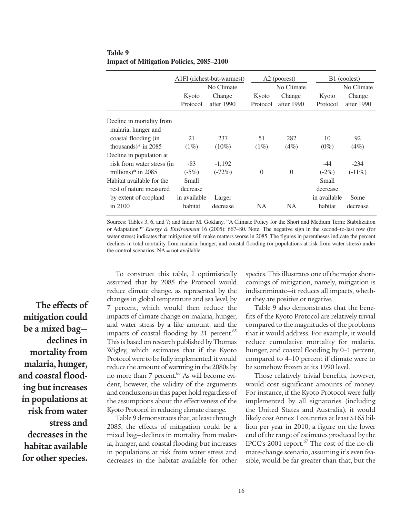|                            | Kyoto<br>Protocol | A1FI (richest-but-warmest)<br>No Climate<br>Change<br>after 1990 | Kyoto<br>Protocol | A <sub>2</sub> (poorest)<br>No Climate<br>Change<br>after 1990 | Kyoto<br>Protocol | B1 (coolest)<br>No Climate<br>Change<br>after 1990 |
|----------------------------|-------------------|------------------------------------------------------------------|-------------------|----------------------------------------------------------------|-------------------|----------------------------------------------------|
| Decline in mortality from  |                   |                                                                  |                   |                                                                |                   |                                                    |
| malaria, hunger and        |                   |                                                                  |                   |                                                                |                   |                                                    |
| coastal flooding (in       | 21                | 237                                                              | 51                | 282                                                            | 10                | 92                                                 |
| thousands)* in $2085$      | $(1\%)$           | $(10\%)$                                                         | $(1\%)$           | (4%)                                                           | $(0\%)$           | $(4\%)$                                            |
| Decline in population at   |                   |                                                                  |                   |                                                                |                   |                                                    |
| risk from water stress (in | $-83$             | $-1,192$                                                         |                   |                                                                | $-44$             | $-234$                                             |
| millions) $*$ in 2085      | $(-5%)$           | $(-72%)$                                                         | $\Omega$          | $\Omega$                                                       | $(-2%)$           | $(-11\%)$                                          |
| Habitat available for the  | Small             |                                                                  |                   |                                                                | Small             |                                                    |
| rest of nature measured    | decrease          |                                                                  |                   |                                                                | decrease          |                                                    |
| by extent of cropland      | in available      | Larger                                                           |                   |                                                                | in available      | Some                                               |
| in $2100$                  | habitat           | decrease                                                         | <b>NA</b>         | <b>NA</b>                                                      | habitat           | decrease                                           |
|                            |                   |                                                                  |                   |                                                                |                   |                                                    |

**Table 9 Impact of Mitigation Policies, 2085–2100**

Sources: Tables 3, 6, and 7; and Indur M. Goklany, "A Climate Policy for the Short and Medium Term: Stabilization or Adaptation?" *Energy & Environment* 16 (2005): 667–80. Note: The negative sign in the second–to-last row (for water stress) indicates that mitigation will make matters worse in 2085. The figures in parentheses indicate the percent declines in total mortality from malaria, hunger, and coastal flooding (or populations at risk from water stress) under the control scenarios. NA = not available.

**The effects of mitigation could be a mixed bag declines in mortality from malaria, hunger, and coastal flooding but increases in populations at risk from water stress and decreases in the habitat available for other species.**

To construct this table, I optimistically assumed that by 2085 the Protocol would reduce climate change, as represented by the changes in global temperature and sea level, by 7 percent, which would then reduce the impacts of climate change on malaria, hunger, and water stress by a like amount, and the impacts of coastal flooding by 21 percent.<sup>65</sup> This is based on research published by Thomas Wigley, which estimates that if the Kyoto Protocol were to be fully implemented, it would reduce the amount of warming in the 2080s by no more than 7 percent.<sup>66</sup> As will become evident, however, the validity of the arguments and conclusions in this paper hold regardless of the assumptions about the effectiveness of the Kyoto Protocol in reducing climate change.

Table 9 demonstrates that, at least through 2085, the effects of mitigation could be a mixed bag—declines in mortality from malaria, hunger, and coastal flooding but increases in populations at risk from water stress and decreases in the habitat available for other species. This illustrates one of the major shortcomings of mitigation, namely, mitigation is indiscriminate—it reduces all impacts, whether they are positive or negative.

Table 9 also demonstrates that the benefits of the Kyoto Protocol are relatively trivial compared to the magnitudes of the problems that it would address. For example, it would reduce cumulative mortality for malaria, hunger, and coastal flooding by 0–1 percent, compared to 4–10 percent if climate were to be somehow frozen at its 1990 level.

Those relatively trivial benefits, however, would cost significant amounts of money. For instance, if the Kyoto Protocol were fully implemented by all signatories (including the United States and Australia), it would likely cost Annex 1 countries at least \$165 billion per year in 2010, a figure on the lower end of the range of estimates produced by the IPCC's  $2001$  report.<sup>67</sup> The cost of the no-climate-change scenario, assuming it's even feasible, would be far greater than that, but the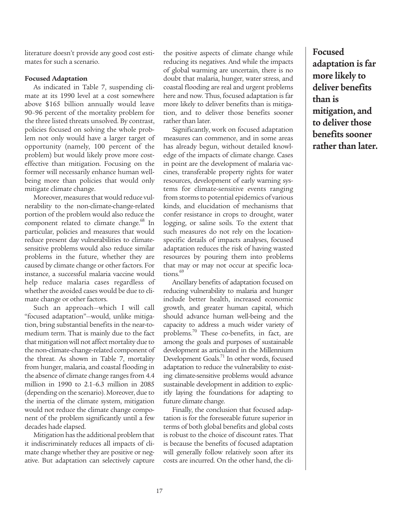literature doesn't provide any good cost estimates for such a scenario.

#### **Focused Adaptation**

As indicated in Table 7, suspending climate at its 1990 level at a cost somewhere above \$165 billion annually would leave 90–96 percent of the mortality problem for the three listed threats unsolved. By contrast, policies focused on solving the whole problem not only would have a larger target of opportunity (namely, 100 percent of the problem) but would likely prove more costeffective than mitigation. Focusing on the former will necessarily enhance human wellbeing more than policies that would only mitigate climate change.

Moreover, measures that would reduce vulnerability to the non-climate-change-related portion of the problem would also reduce the component related to climate change.<sup>68</sup> In particular, policies and measures that would reduce present day vulnerabilities to climatesensitive problems would also reduce similar problems in the future, whether they are caused by climate change or other factors. For instance, a successful malaria vaccine would help reduce malaria cases regardless of whether the avoided cases would be due to climate change or other factors.

Such an approach—which I will call "focused adaptation"—would, unlike mitigation, bring substantial benefits in the near-tomedium term. That is mainly due to the fact that mitigation will not affect mortality due to the non-climate-change-related component of the threat. As shown in Table 7, mortality from hunger, malaria, and coastal flooding in the absence of climate change ranges from 4.4 million in 1990 to 2.1–6.3 million in 2085 (depending on the scenario). Moreover, due to the inertia of the climate system, mitigation would not reduce the climate change component of the problem significantly until a few decades hade elapsed.

Mitigation has the additional problem that it indiscriminately reduces all impacts of climate change whether they are positive or negative. But adaptation can selectively capture

the positive aspects of climate change while reducing its negatives. And while the impacts of global warming are uncertain, there is no doubt that malaria, hunger, water stress, and coastal flooding are real and urgent problems here and now. Thus, focused adaptation is far more likely to deliver benefits than is mitigation, and to deliver those benefits sooner rather than later.

Significantly, work on focused adaptation measures can commence, and in some areas has already begun, without detailed knowledge of the impacts of climate change. Cases in point are the development of malaria vaccines, transferable property rights for water resources, development of early warning systems for climate-sensitive events ranging from storms to potential epidemics of various kinds, and elucidation of mechanisms that confer resistance in crops to drought, water logging, or saline soils. To the extent that such measures do not rely on the locationspecific details of impacts analyses, focused adaptation reduces the risk of having wasted resources by pouring them into problems that may or may not occur at specific locations.<sup>69</sup>

Ancillary benefits of adaptation focused on reducing vulnerability to malaria and hunger include better health, increased economic growth, and greater human capital, which should advance human well-being and the capacity to address a much wider variety of problems.<sup>70</sup> These co-benefits, in fact, are among the goals and purposes of sustainable development as articulated in the Millennium Development Goals.<sup>71</sup> In other words, focused adaptation to reduce the vulnerability to existing climate-sensitive problems would advance sustainable development in addition to explicitly laying the foundations for adapting to future climate change.

Finally, the conclusion that focused adaptation is for the foreseeable future superior in terms of both global benefits and global costs is robust to the choice of discount rates. That is because the benefits of focused adaptation will generally follow relatively soon after its costs are incurred. On the other hand, the cli-

**Focused adaptation is far more likely to deliver benefits than is mitigation, and to deliver those benefits sooner rather than later.**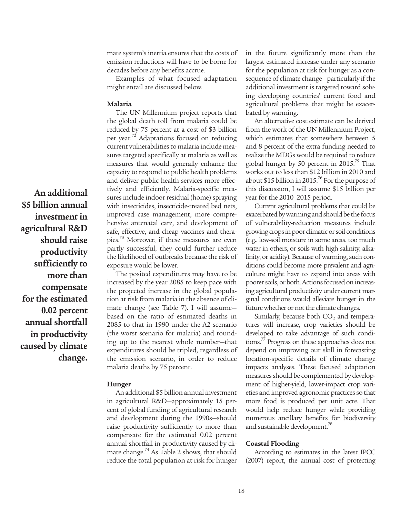mate system's inertia ensures that the costs of emission reductions will have to be borne for decades before any benefits accrue.

Examples of what focused adaptation might entail are discussed below.

### **Malaria**

The UN Millennium project reports that the global death toll from malaria could be reduced by 75 percent at a cost of \$3 billion per year.<sup>72</sup> Adaptations focused on reducing current vulnerabilities to malaria include measures targeted specifically at malaria as well as measures that would generally enhance the capacity to respond to public health problems and deliver public health services more effectively and efficiently. Malaria-specific measures include indoor residual (home) spraying with insecticides, insecticide-treated bed nets, improved case management, more comprehensive antenatal care, and development of safe, effective, and cheap vaccines and therapies.73 Moreover, if these measures are even partly successful, they could further reduce the likelihood of outbreaks because the risk of exposure would be lower.

The posited expenditures may have to be increased by the year 2085 to keep pace with the projected increase in the global population at risk from malaria in the absence of climate change (see Table 7). I will assume based on the ratio of estimated deaths in 2085 to that in 1990 under the A2 scenario (the worst scenario for malaria) and rounding up to the nearest whole number—that expenditures should be tripled, regardless of the emission scenario, in order to reduce malaria deaths by 75 percent.

### **Hunger**

An additional \$5 billion annual investment in agricultural R&D—approximately 15 percent of global funding of agricultural research and development during the 1990s—should raise productivity sufficiently to more than compensate for the estimated 0.02 percent annual shortfall in productivity caused by climate change.<sup>74</sup> As Table 2 shows, that should reduce the total population at risk for hunger in the future significantly more than the largest estimated increase under any scenario for the population at risk for hunger as a consequence of climate change—particularly if the additional investment is targeted toward solving developing countries' current food and agricultural problems that might be exacerbated by warming.

An alternative cost estimate can be derived from the work of the UN Millennium Project, which estimates that somewhere between 5 and 8 percent of the extra funding needed to realize the MDGs would be required to reduce global hunger by 50 percent in  $2015.^{75}$  That works out to less than \$12 billion in 2010 and about \$15 billion in 2015.<sup>76</sup> For the purpose of this discussion, I will assume \$15 billion per year for the 2010–2015 period.

Current agricultural problems that could be exacerbated by warming and should be the focus of vulnerability-reduction measures include growing crops in poor climatic or soil conditions (e.g., low-soil moisture in some areas, too much water in others, or soils with high salinity, alkalinity, or acidity). Because of warming, such conditions could become more prevalent and agriculture might have to expand into areas with poorer soils, or both. Actions focused on increasing agricultural productivity under current marginal conditions would alleviate hunger in the future whether or not the climate changes.

Similarly, because both  $CO<sub>2</sub>$  and temperatures will increase, crop varieties should be developed to take advantage of such conditions.<sup>77</sup> Progress on these approaches does not depend on improving our skill in forecasting location-specific details of climate change impacts analyses. These focused adaptation measures should be complemented by development of higher-yield, lower-impact crop varieties and improved agronomic practices so that more food is produced per unit acre. That would help reduce hunger while providing numerous ancillary benefits for biodiversity and sustainable development.<sup>78</sup>

#### **Coastal Flooding**

According to estimates in the latest IPCC (2007) report, the annual cost of protecting

**An additional \$5 billion annual investment in agricultural R&D should raise productivity sufficiently to more than compensate for the estimated 0.02 percent annual shortfall in productivity caused by climate change.**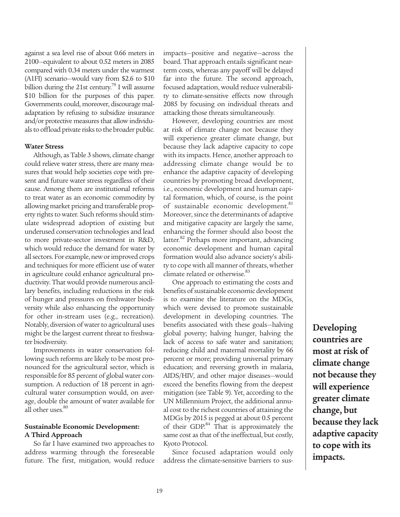against a sea level rise of about 0.66 meters in 2100—equivalent to about 0.52 meters in 2085 compared with 0.34 meters under the warmest (A1FI) scenario—would vary from \$2.6 to \$10 billion during the 21st century.<sup>79</sup> I will assume \$10 billion for the purposes of this paper. Governments could, moreover, discourage maladaptation by refusing to subsidize insurance and/or protective measures that allow individuals to offload private risks to the broader public.

### **Water Stress**

Although, as Table 3 shows, climate change could relieve water stress, there are many measures that would help societies cope with present and future water stress regardless of their cause. Among them are institutional reforms to treat water as an economic commodity by allowing market pricing and transferable property rights to water. Such reforms should stimulate widespread adoption of existing but underused conservation technologies and lead to more private-sector investment in R&D, which would reduce the demand for water by all sectors. For example, new or improved crops and techniques for more efficient use of water in agriculture could enhance agricultural productivity. That would provide numerous ancillary benefits, including reductions in the risk of hunger and pressures on freshwater biodiversity while also enhancing the opportunity for other in-stream uses (e.g., recreation). Notably, diversion of water to agricultural uses might be the largest current threat to freshwater biodiversity.

Improvements in water conservation following such reforms are likely to be most pronounced for the agricultural sector, which is responsible for 85 percent of global water consumption. A reduction of 18 percent in agricultural water consumption would, on average, double the amount of water available for all other uses.<sup>80</sup>

### **Sustainable Economic Development: A Third Approach**

So far I have examined two approaches to address warming through the foreseeable future. The first, mitigation, would reduce impacts—positive and negative—across the board. That approach entails significant nearterm costs, whereas any payoff will be delayed far into the future. The second approach, focused adaptation, would reduce vulnerability to climate-sensitive effects now through 2085 by focusing on individual threats and attacking those threats simultaneously.

However, developing countries are most at risk of climate change not because they will experience greater climate change, but because they lack adaptive capacity to cope with its impacts. Hence, another approach to addressing climate change would be to enhance the adaptive capacity of developing countries by promoting broad development, i.e., economic development and human capital formation, which, of course, is the point of sustainable economic development.<sup>81</sup> Moreover, since the determinants of adaptive and mitigative capacity are largely the same, enhancing the former should also boost the latter.<sup>82</sup> Perhaps more important, advancing economic development and human capital formation would also advance society's ability to cope with all manner of threats, whether climate related or otherwise.<sup>83</sup>

One approach to estimating the costs and benefits of sustainable economic development is to examine the literature on the MDGs, which were devised to promote sustainable development in developing countries. The benefits associated with these goals—halving global poverty; halving hunger, halving the lack of access to safe water and sanitation; reducing child and maternal mortality by 66 percent or more; providing universal primary education; and reversing growth in malaria, AIDS/HIV, and other major diseases—would exceed the benefits flowing from the deepest mitigation (see Table 9). Yet, according to the UN Millennium Project, the additional annual cost to the richest countries of attaining the MDGs by 2015 is pegged at about 0.5 percent of their GDP.<sup>84</sup> That is approximately the same cost as that of the ineffectual, but costly, Kyoto Protocol.

Since focused adaptation would only address the climate-sensitive barriers to sus-

**Developing countries are most at risk of climate change not because they will experience greater climate change, but because they lack adaptive capacity to cope with its impacts.**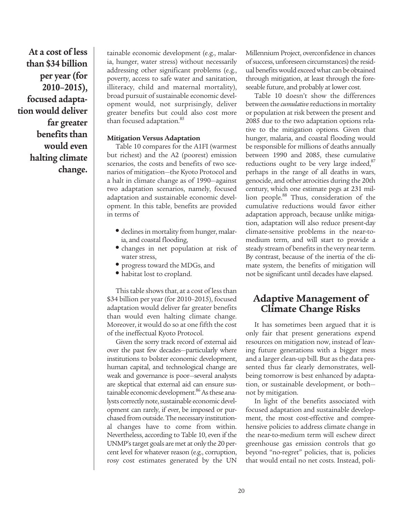**At a cost of less than \$34 billion per year (for 2010–2015), focused adaptation would deliver far greater benefits than would even halting climate change.** 

tainable economic development (e.g., malaria, hunger, water stress) without necessarily addressing other significant problems (e.g., poverty, access to safe water and sanitation, illiteracy, child and maternal mortality), broad pursuit of sustainable economic development would, not surprisingly, deliver greater benefits but could also cost more than focused adaptation.<sup>85</sup>

### **Mitigation Versus Adaptation**

Table 10 compares for the A1FI (warmest but richest) and the A2 (poorest) emission scenarios, the costs and benefits of two scenarios of mitigation—the Kyoto Protocol and a halt in climate change as of 1990—against two adaptation scenarios, namely, focused adaptation and sustainable economic development. In this table, benefits are provided in terms of

- declines in mortality from hunger, malaria, and coastal flooding,
- changes in net population at risk of water stress,
- progress toward the MDGs, and
- habitat lost to cropland.

This table shows that, at a cost of less than \$34 billion per year (for 2010–2015), focused adaptation would deliver far greater benefits than would even halting climate change. Moreover, it would do so at one fifth the cost of the ineffectual Kyoto Protocol.

Given the sorry track record of external aid over the past few decades—particularly where institutions to bolster economic development, human capital, and technological change are weak and governance is poor—several analysts are skeptical that external aid can ensure sustainable economic development.<sup>86</sup> As these analysts correctly note, sustainable economic development can rarely, if ever, be imposed or purchased from outside. The necessary institutional changes have to come from within. Nevertheless, according to Table 10, even if the UNMP's target goals are met at only the 20 percent level for whatever reason (e.g., corruption, rosy cost estimates generated by the UN

Millennium Project, overconfidence in chances of success, unforeseen circumstances) the residual benefits would exceed what can be obtained through mitigation, at least through the foreseeable future, and probably at lower cost.

Table 10 doesn't show the differences between the *cumulative* reductions in mortality or population at risk between the present and 2085 due to the two adaptation options relative to the mitigation options. Given that hunger, malaria, and coastal flooding would be responsible for millions of deaths annually between 1990 and 2085, these cumulative reductions ought to be very large indeed,<sup>87</sup> perhaps in the range of all deaths in wars, genocide, and other atrocities during the 20th century, which one estimate pegs at 231 million people.<sup>88</sup> Thus, consideration of the cumulative reductions would favor either adaptation approach, because unlike mitigation, adaptation will also reduce present-day climate-sensitive problems in the near-tomedium term, and will start to provide a steady stream of benefits in the very near term. By contrast, because of the inertia of the climate system, the benefits of mitigation will not be significant until decades have elapsed.

# **Adaptive Management of Climate Change Risks**

It has sometimes been argued that it is only fair that present generations expend resources on mitigation now, instead of leaving future generations with a bigger mess and a larger clean-up bill. But as the data presented thus far clearly demonstrates, wellbeing tomorrow is best enhanced by adaptation, or sustainable development, or both not by mitigation.

In light of the benefits associated with focused adaptation and sustainable development, the most cost-effective and comprehensive policies to address climate change in the near-to-medium term will eschew direct greenhouse gas emission controls that go beyond "no-regret" policies, that is, policies that would entail no net costs. Instead, poli-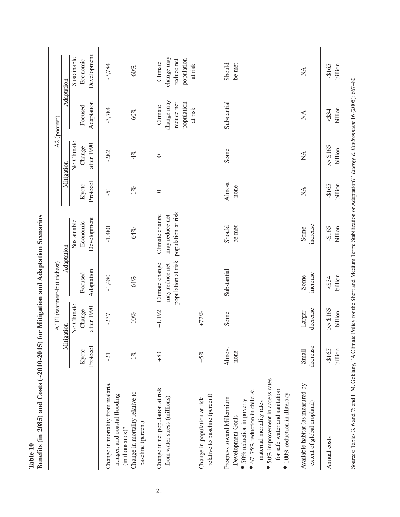|                                                                                                                                                                                                                                                        |                       |                      | A1FI (warmest-but richest)                             |                                                        |                   |                      | A2 (poorest)                                                 |                                                              |
|--------------------------------------------------------------------------------------------------------------------------------------------------------------------------------------------------------------------------------------------------------|-----------------------|----------------------|--------------------------------------------------------|--------------------------------------------------------|-------------------|----------------------|--------------------------------------------------------------|--------------------------------------------------------------|
|                                                                                                                                                                                                                                                        |                       | Mitigation           |                                                        | Adaptation                                             | Mitigation        |                      |                                                              | Adaptation                                                   |
|                                                                                                                                                                                                                                                        |                       | No Climate           |                                                        | Sustainable                                            |                   | No Climate           |                                                              | Sustainable                                                  |
|                                                                                                                                                                                                                                                        | Protocol<br>Kyoto     | after 1990<br>Change | Adaptation<br>Focused                                  | Development<br>Economic                                | Protocol<br>Kyoto | after 1990<br>Change | Adaptation<br>Focused                                        | Development<br>Economic                                      |
|                                                                                                                                                                                                                                                        |                       |                      |                                                        |                                                        |                   |                      |                                                              |                                                              |
| Change in mortality from malaria,<br>hunger, and coastal flooding<br>$(in$ thousands)*                                                                                                                                                                 | $\overline{21}$       | $-237$               | $-1,480$                                               | $-1,480$                                               | $\overline{5}$    | $-282$               | $-3,784$                                                     | $-3,784$                                                     |
| Change in mortality relative to<br>baseline (percent)                                                                                                                                                                                                  | $-1\%$                | $-10%$               | $-64%$                                                 | $-64%$                                                 | $-1\%$            | $-4%$                | $-60%$                                                       | $-60%$                                                       |
| Change in net population at risk<br>from water stress (millions)                                                                                                                                                                                       | $+83$                 | $+1,192$             | population at risk<br>Climate change<br>may reduce net | population at risk<br>Climate change<br>may reduce net | $\circ$           | $\circ$              | change may<br>population<br>reduce net<br>Climate<br>at risk | change may<br>population<br>reduce net<br>Climate<br>at risk |
| relative to baseline (percent)<br>Change in population at risk                                                                                                                                                                                         | $+5%$                 | $+72%$               |                                                        |                                                        |                   |                      |                                                              |                                                              |
| 50% improvement in access rates<br>for safe water and sanitation<br>67-75% reduction in child $&$<br>$\bullet$ 100% reduction in illiteracy<br>Progress toward Millennium<br>50% reduction in poverty<br>maternal mortality rates<br>Development Goals | <b>Almost</b><br>none | Some                 | Substantial                                            | Should<br>be met                                       | Almost<br>none    | Some                 | Substantial                                                  | Should<br>be met                                             |
| Available habitat (as measured by<br>extent of global cropland)                                                                                                                                                                                        | decrease<br>Small     | decrease<br>Larger   | increase<br>Some                                       | increase<br>Some                                       | $\sum_{i=1}^{n}$  | $\sum_{i=1}^{n}$     | $\sum_{i=1}^{n}$                                             | $\mathbb{Z}$                                                 |
| Annual costs                                                                                                                                                                                                                                           | billion<br>~28165     | 5018 <<br>billion    | billion<br>534                                         | ~28165<br>billion                                      | $-165$<br>billion | 5018 <<br>billion    | billion<br>534                                               | billion<br>~20165                                            |
| Sources: Tables 3, 6 and 7; and 1. M. Goklany, "A Climate Policy for the Short and Medium Term: Stabilization or Adaptation?" Energy & Environment 16 (2005): 667-80.                                                                                  |                       |                      |                                                        |                                                        |                   |                      |                                                              |                                                              |

Table 10<br>Benefits (in 2085) and Costs (~2010-2015) for Mitigation and Adaptation Scenarios **Benefits (in 2085) and Costs (~2010-2015) for Mitigation and Adaptation Scenarios**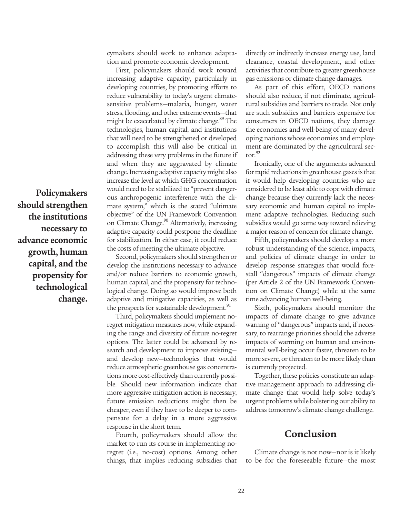**Policymakers should strengthen the institutions necessary to advance economic growth, human capital, and the propensity for technological change.**

cymakers should work to enhance adaptation and promote economic development.

First, policymakers should work toward increasing adaptive capacity, particularly in developing countries, by promoting efforts to reduce vulnerability to today's urgent climatesensitive problems—malaria, hunger, water stress, flooding, and other extreme events—that might be exacerbated by climate change.<sup>89</sup> The technologies, human capital, and institutions that will need to be strengthened or developed to accomplish this will also be critical in addressing these very problems in the future if and when they are aggravated by climate change. Increasing adaptive capacity might also increase the level at which GHG concentration would need to be stabilized to "prevent dangerous anthropogenic interference with the climate system," which is the stated "ultimate objective" of the UN Framework Convention on Climate Change.<sup>90</sup> Alternatively, increasing adaptive capacity could postpone the deadline for stabilization. In either case, it could reduce the costs of meeting the ultimate objective.

Second, policymakers should strengthen or develop the institutions necessary to advance and/or reduce barriers to economic growth, human capital, and the propensity for technological change. Doing so would improve both adaptive and mitigative capacities, as well as the prospects for sustainable development.<sup>91</sup>

Third, policymakers should implement noregret mitigation measures now, while expanding the range and diversity of future no-regret options. The latter could be advanced by research and development to improve existing and develop new—technologies that would reduce atmospheric greenhouse gas concentrations more cost-effectively than currently possible. Should new information indicate that more aggressive mitigation action is necessary, future emission reductions might then be cheaper, even if they have to be deeper to compensate for a delay in a more aggressive response in the short term.

Fourth, policymakers should allow the market to run its course in implementing noregret (i.e., no-cost) options. Among other things, that implies reducing subsidies that directly or indirectly increase energy use, land clearance, coastal development, and other activities that contribute to greater greenhouse gas emissions or climate change damages.

As part of this effort, OECD nations should also reduce, if not eliminate, agricultural subsidies and barriers to trade. Not only are such subsidies and barriers expensive for consumers in OECD nations, they damage the economies and well-being of many developing nations whose economies and employment are dominated by the agricultural sector. $92$ 

Ironically, one of the arguments advanced for rapid reductions in greenhouse gases is that it would help developing countries who are considered to be least able to cope with climate change because they currently lack the necessary economic and human capital to implement adaptive technologies. Reducing such subsidies would go some way toward relieving a major reason of concern for climate change.

Fifth, policymakers should develop a more robust understanding of the science, impacts, and policies of climate change in order to develop response strategies that would forestall "dangerous" impacts of climate change (per Article 2 of the UN Framework Convention on Climate Change) while at the same time advancing human well-being.

Sixth, policymakers should monitor the impacts of climate change to give advance warning of "dangerous" impacts and, if necessary, to rearrange priorities should the adverse impacts of warming on human and environmental well-being occur faster, threaten to be more severe, or threaten to be more likely than is currently projected.

Together, these policies constitute an adaptive management approach to addressing climate change that would help solve today's urgent problems while bolstering our ability to address tomorrow's climate change challenge.

## **Conclusion**

Climate change is not now—nor is it likely to be for the foreseeable future—the most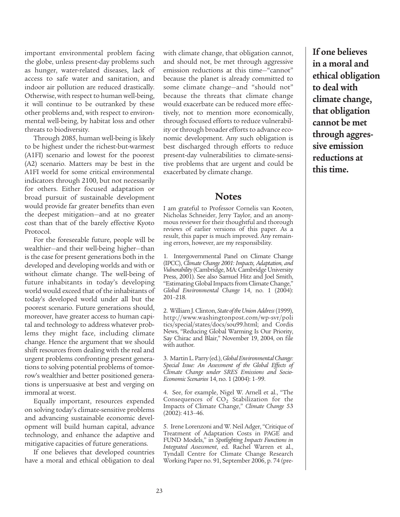important environmental problem facing the globe, unless present-day problems such as hunger, water-related diseases, lack of access to safe water and sanitation, and indoor air pollution are reduced drastically. Otherwise, with respect to human well-being, it will continue to be outranked by these other problems and, with respect to environmental well-being, by habitat loss and other threats to biodiversity.

Through 2085, human well-being is likely to be highest under the richest-but-warmest (A1FI) scenario and lowest for the poorest (A2) scenario. Matters may be best in the A1FI world for some critical environmental indicators through 2100, but not necessarily for others. Either focused adaptation or broad pursuit of sustainable development would provide far greater benefits than even the deepest mitigation—and at no greater cost than that of the barely effective Kyoto Protocol.

For the foreseeable future, people will be wealthier—and their well-being higher—than is the case for present generations both in the developed and developing worlds and with or without climate change. The well-being of future inhabitants in today's developing world would exceed that of the inhabitants of today's developed world under all but the poorest scenario. Future generations should, moreover, have greater access to human capital and technology to address whatever problems they might face, including climate change. Hence the argument that we should shift resources from dealing with the real and urgent problems confronting present generations to solving potential problems of tomorrow's wealthier and better positioned generations is unpersuasive at best and verging on immoral at worst.

Equally important, resources expended on solving today's climate-sensitive problems and advancing sustainable economic development will build human capital, advance technology, and enhance the adaptive and mitigative capacities of future generations.

If one believes that developed countries have a moral and ethical obligation to deal with climate change, that obligation cannot, and should not, be met through aggressive emission reductions at this time—"cannot" because the planet is already committed to some climate change—and "should not" because the threats that climate change would exacerbate can be reduced more effectively, not to mention more economically, through focused efforts to reduce vulnerability or through broader efforts to advance economic development. Any such obligation is best discharged through efforts to reduce present-day vulnerabilities to climate-sensitive problems that are urgent and could be exacerbated by climate change.

### **Notes**

I am grateful to Professor Cornelis van Kooten, Nicholas Schneider, Jerry Taylor, and an anonymous reviewer for their thoughtful and thorough reviews of earlier versions of this paper. As a result, this paper is much improved. Any remaining errors, however, are my responsibility.

1. Intergovernmental Panel on Climate Change (IPCC), *Climate Change 2001: Impacts, Adaptation, and Vulnerability* (Cambridge, MA: Cambridge University Press, 2001). See also Samuel Hitz and Joel Smith, "Estimating Global Impacts from Climate Change," *Global Environmental Change* 14, no. 1 (2004): 201–218.

2. William J. Clinton, *State of the Union Address*(1999), http://www.washingtonpost.com/wp-svr/poli tics/special/states/docs/sou99.html; and Cordis News, "Reducing Global Warming Is Our Priority, Say Chirac and Blair," November 19, 2004, on file with author.

3. Martin L. Parry (ed.), *Global Environmental Change: Special Issue: An Assessment of the Global Effects of Climate Change under SRES Emissions and Socio-Economic Scenarios* 14, no. 1 (2004): 1–99.

4. See, for example, Nigel W. Arnell et al., "The Consequences of  $CO<sub>2</sub>$  Stabilization for the Impacts of Climate Change," *Climate Change* 53 (2002): 413–46.

5. Irene Lorenzoni and W. Neil Adger, "Critique of Treatment of Adaptation Costs in PAGE and FUND Models," in *Spotlighting Impacts Functions in Integrated Assessment*, ed. Rachel Warren et al., Tyndall Centre for Climate Change Research Working Paper no. 91, September 2006, p. 74 (pre**If one believes in a moral and ethical obligation to deal with climate change, that obligation cannot be met through aggressive emission reductions at this time.**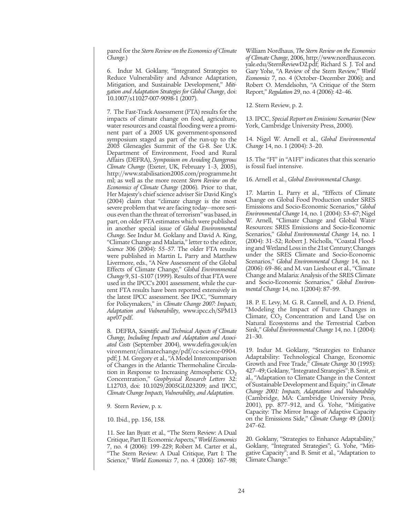pared for the *Stern Review on the Economics of Climate Change*.)

6. Indur M. Goklany, "Integrated Strategies to Reduce Vulnerability and Advance Adaptation, Mitigation, and Sustainable Development," *Mitigation and Adaptation Strategies for Global Change*, doi: 10.1007/s11027-007-9098-1 (2007).

7. The Fast-Track Assessment (FTA) results for the impacts of climate change on food, agriculture, water resources and coastal flooding were a prominent part of a 2005 UK government-sponsored symposium staged as part of the run-up to the 2005 Gleneagles Summit of the G-8. See U.K. Department of Environment, Food and Rural Affairs (DEFRA), *Symposium on Avoiding Dangerous Climate Change* (Exeter, UK, February 1–3, 2005), http://www.stabilisation2005.com/programme.ht ml; as well as the more recent *Stern Review on the Economics of Climate Change* (2006). Prior to that, Her Majesty's chief science adviser Sir David King's (2004) claim that "climate change is the most severe problem that we are facing today—more serious even than the threat of terrorism" was based, in part, on older FTA estimates which were published in another special issue of *Global Environmental Change*. See Indur M. Goklany and David A. King, "Climate Change and Malaria," letter to the editor, *Science* 306 (2004): 55–57. The older FTA results were published in Martin L. Parry and Matthew Livermore, eds., "A New Assessment of the Global Effects of Climate Change," *Global Environmental Change* 9, S1–S107 (1999). Results of that FTA were used in the IPCC's 2001 assessment, while the current FTA results have been reported extensively in the latest IPCC assessment. See IPCC, "Summary for Policymakers," in *Climate Change 2007: Impacts, Adaptation and Vulnerability*, www.ipcc.ch/SPM13 apr07.pdf.

8. DEFRA, *Scientific and Technical Aspects of Climate Change, Including Impacts and Adaptation and Associated Costs* (September 2004), www.defra.gov.uk/en vironment/climatechange/pdf/cc-science-0904. pdf; J. M. Gregory et al., "A Model Intercomparison of Changes in the Atlantic Thermohaline Circulation in Response to Increasing Atmospheric  $CO<sub>2</sub>$ Concentration," *Geophysical Research Letters* 32: L12703, doi: 10.1029/2005GL023209; and IPCC, *Climate Change Impacts, Vulnerability, and Adaptation*.

9. Stern Review, p. x.

10. Ibid., pp. 156, 158.

11. See Ian Byatt et al., "The Stern Review: A Dual Critique, Part II: Economic Aspects," *World Economics* 7, no. 4 (2006): 199–229; Robert M. Carter et al., "The Stern Review: A Dual Critique, Part I: The Science," *World Economics* 7, no. 4 (2006): 167–98; William Nordhaus, *The Stern Review on the Economics of Climate Change*, 2006, http://www.nordhaus.econ. yale.edu/SternReviewD2.pdf; Richard S. J. Tol and Gary Yohe, "A Review of the Stern Review," *World Economics* 7, no. 4 (October–December 2006); and Robert O. Mendelsohn, "A Critique of the Stern Report," *Regulation* 29, no. 4 (2006): 42–46.

12. Stern Review, p. 2.

13. IPCC, *Special Report on Emissions Scenarios* (New York, Cambridge University Press, 2000).

14. Nigel W. Arnell et al., *Global Environmental Change* 14, no. 1 (2004): 3–20.

15. The "FI" in "A1FI" indicates that this scenario is fossil fuel intensive.

16. Arnell et al., *Global Environmental Change*.

17. Martin L. Parry et al., "Effects of Climate Change on Global Food Production under SRES Emissions and Socio-Economic Scenarios," *Global Environmental Change* 14, no. 1 (2004): 53–67; Nigel W. Arnell, "Climate Change and Global Water Resources: SRES Emissions and Socio-Economic Scenarios," *Global Environmental Change* 14, no. 1 (2004): 31–52; Robert J. Nicholls, "Coastal Flooding and Wetland Loss in the 21st Century; Changes under the SRES Climate and Socio-Economic Scenarios," *Global Environmental Change* 14, no. 1 (2006): 69–86; and M. van Lieshout et al., "Climate Change and Malaria: Analysis of the SRES Climate and Socio-Economic Scenarios," *Global Environmental Change* 14, no. 1(2004): 87–99.

18. P. E. Levy, M. G. R. Cannell, and A. D. Friend, "Modeling the Impact of Future Changes in Climate,  $CO<sub>2</sub>$  Concentration and Land Use on Natural Ecosystems and the Terrestrial Carbon Sink," *Global Environmental Change* 14, no. 1 (2004): 21–30.

19. Indur M. Goklany, "Strategies to Enhance Adaptability: Technological Change, Economic Growth and Free Trade," *Climate Change* 30 (1995): 427–49; Goklany, "Integrated Strategies"; B. Smit, et al., "Adaptation to Climate Change in the Context of Sustainable Development and Equity," in *Climate Change 2001: Impacts, Adaptations and Vulnerability* (Cambridge, MA: Cambridge University Press, 2001), pp. 877–912, and G. Yohe, "Mitigative Capacity: The Mirror Image of Adaptive Capacity on the Emissions Side," *Climate Change* 49 (2001): 247–62.

20. Goklany, "Strategies to Enhance Adaptability," Goklany, "Integrated Strategies"; G. Yohe, "Mitigative Capacity"; and B. Smit et al., "Adaptation to Climate Change."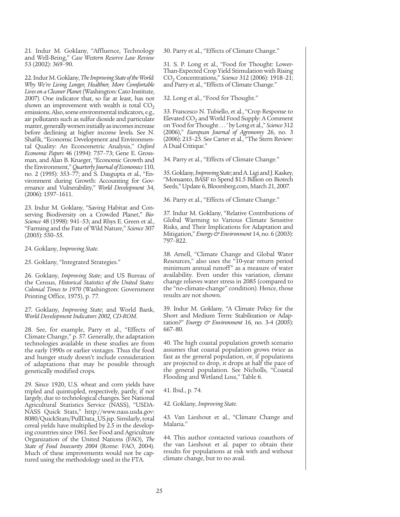21. Indur M. Goklany, "Affluence, Technology and Well-Being," *Case Western Reserve Law Review* 53 (2002): 369–90.

22. Indur M. Goklany, *The Improving State of the World: Why We're Living Longer, Healthier, More Comfortable Lives on a Cleaner Plane*t (Washington: Cato Institute, 2007). One indicator that, so far at least, has not shown an improvement with wealth is total  $CO<sub>2</sub>$ emissions. Also, some environmental indicators, e.g., air pollutants such as sulfur dioxide and particulate matter, generally worsen initially as incomes increase before declining at higher income levels. See N. Shafik, "Economic Development and Environmental Quality: An Econometric Analysis," *Oxford Economic Papers* 46 (1994): 757–73; Gene E. Grossman, and Alan B. Krueger, "Economic Growth and the Environment," *Quarterly Journal of Economics* 110, no. 2 (1995): 353–77; and S. Dasgupta et al., "Environment during Growth: Accounting for Governance and Vulnerability," *World Development* 34, (2006): 1597–1611.

23. Indur M. Goklany, "Saving Habitat and Conserving Biodiversity on a Crowded Planet," *Bio-Science* 48 (1998): 941–53; and Rhys E. Green et al., "Farming and the Fate of Wild Nature," *Science* 307 (2005): 550–55.

24. Goklany, *Improving State*.

25. Goklany, "Integrated Strategies."

26. Goklany, *Improving State*; and US Bureau of the Census, *Historical Statistics of the United States: Colonial Times to 1970* (Washington: Government Printing Office, 1975), p. 77.

27. Goklany, *Improving State*; and World Bank, *World Development Indicators 2002, CD-ROM*.

28. See, for example, Parry et al., "Effects of Climate Change," p. 57. Generally, the adaptation technologies available in these studies are from the early 1990s or earlier vintages. Thus the food and hunger study doesn't include consideration of adaptations that may be possible through genetically modified crops.

29. Since 1920, U.S. wheat and corn yields have tripled and quintupled, respectively, partly, if not largely, due to technological changes. See National Agricultural Statistics Service (NASS), "USDA-NASS Quick Stats," http://www.nass.usda.gov: 8080/QuickStats/PullData\_US.jsp. Similarly, total cereal yields have multiplied by 2.5 in the developing countries since 1961. See Food and Agriculture Organization of the United Nations (FAO), *The State of Food Insecurity 2004* (Rome: FAO, 2004). Much of these improvements would not be captured using the methodology used in the FTA.

30. Parry et al., "Effects of Climate Change."

31. S. P. Long et al., "Food for Thought: Lower-Than-Expected Crop Yield Stimulation with Rising CO2 Concentrations," *Science* 312 (2006): 1918–21; and Parry et al., "Effects of Climate Change."

32. Long et al., "Food for Thought."

33. Francesco N. Tubiello, et al., "Crop Response to Elevated  $CO<sub>2</sub>$  and World Food Supply: A Comment on 'Food for Thought . . . ' by Long et al.," *Science* 312 (2006)," *European Journal of Agronomy* 26, no. 3 (2006): 215–23. See Carter et al., "The Stern Review: A Dual Critique."

34. Parry et al., "Effects of Climate Change."

35. Goklany, *Improving State*; and A. Ligi and J. Kaskey, "Monsanto, BASF to Spend \$1.5 Billion on Biotech Seeds," Update 6, Bloomberg.com, March 21, 2007.

36. Parry et al., "Effects of Climate Change."

37. Indur M. Goklany, "Relative Contributions of Global Warming to Various Climate Sensitive Risks, and Their Implications for Adaptation and Mitigation," *Energy & Environment* 14, no. 6 (2003): 797–822.

38. Arnell, "Climate Change and Global Water Resources," also uses the "10-year return period minimum annual runoff" as a measure of water availability. Even under this variation, climate change relieves water stress in 2085 (compared to the "no-climate-change" condition). Hence, those results are not shown.

39. Indur M. Goklany, "A Climate Policy for the Short and Medium Term: Stabilization or Adaptation?" *Energy & Environment* 16, no. 3-4 (2005): 667–80.

40. The high coastal population growth scenario assumes that coastal population grows twice as fast as the general population, or, if populations are projected to drop, it drops at half the pace of the general population. See Nicholls, "Coastal Flooding and Wetland Loss," Table 6.

#### 41. Ibid., p. 74.

42. Goklany, *Improving State*.

43. Van Lieshout et al., "Climate Change and Malaria."

44. This author contacted various coauthors of the van Lieshout et al. paper to obtain their results for populations at risk with and without climate change, but to no avail.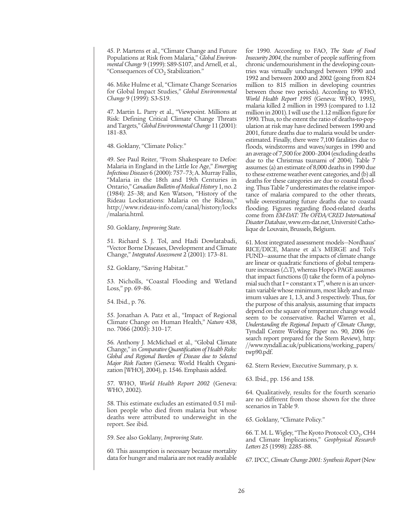45. P. Martens et al., "Climate Change and Future Populations at Risk from Malaria," *Global Environmental Change* 9 (1999): S89-S107, and Arnell, et al., "Consequences of  $CO<sub>2</sub>$  Stabilization."

46. Mike Hulme et al, "Climate Change Scenarios for Global Impact Studies," *Global Environmental Change* 9 (1999): S3-S19.

47. Martin L. Parry et al., "Viewpoint. Millions at Risk: Defining Critical Climate Change Threats and Targets," *Global Environmental Change* 11 (2001): 181–83.

48. Goklany, "Climate Policy."

49. See Paul Reiter, "From Shakespeare to Defoe: Malaria in England in the Little Ice Age," *Emerging Infectious Diseases* 6 (2000): 757–73; A. Murray Fallis, "Malaria in the 18th and 19th Centuries in Ontario," *Canadian Bulletin of Medical History* 1, no. 2 (1984): 25–38; and Ken Watson, "History of the Rideau Lockstations: Malaria on the Rideau," http://www.rideau-info.com/canal/history/locks /malaria.html.

50. Goklany, *Improving State*.

51. Richard S. J. Tol, and Hadi Dowlatabadi, "Vector Borne Diseases, Development and Climate Change," *Integrated Assessment* 2 (2001): 173–81.

52. Goklany, "Saving Habitat."

53. Nicholls, "Coastal Flooding and Wetland Loss," pp. 69–86.

54. Ibid., p. 76.

55. Jonathan A. Patz et al., "Impact of Regional Climate Change on Human Health," *Nature* 438, no. 7066 (2005): 310–17.

56. Anthony J. McMichael et al., "Global Climate Change," in *Comparative Quantification of Health Risks: Global and Regional Burden of Disease due to Selected Major Risk Factors* (Geneva: World Health Organization [WHO], 2004), p. 1546. Emphasis added.

57. WHO, *World Health Report 2002* (Geneva: WHO, 2002).

58. This estimate excludes an estimated 0.51 million people who died from malaria but whose deaths were attributed to underweight in the report. See ibid.

59. See also Goklany, *Improving State*.

60. This assumption is necessary because mortality data for hunger and malaria are not readily available for 1990. According to FAO, *The State of Food Insecurity 2004*, the number of people suffering from chronic undernourishment in the developing countries was virtually unchanged between 1990 and 1992 and between 2000 and 2002 (going from 824 million to 815 million in developing countries between those two periods). According to WHO, *World Health Report 1995* (Geneva: WHO, 1995), malaria killed 2 million in 1993 (compared to 1.12 million in 2001). I will use the 1.12 million figure for 1990. Thus, to the extent the ratio of deaths-to-population at risk may have declined between 1990 and 2001, future deaths due to malaria would be underestimated. Finally, there were 7,100 fatalities due to floods, windstorms and waves/surges in 1990 and an average of 7,500 for 2000–2004 (excluding deaths due to the Christmas tsunami of 2004). Table 7 assumes: (a) an estimate of 8,000 deaths in 1990 due to these extreme weather event categories, and (b) all deaths for these categories are due to coastal flooding. Thus Table 7 underestimates the relative importance of malaria compared to the other threats, while overestimating future deaths due to coastal flooding. Figures regarding flood-related deaths come from *EM-DAT: The OFDA/CRED International Disaster Database*, www.em-dat.net, Université Catholique de Louvain, Brussels, Belgium.

61. Most integrated assessment models—Nordhaus' RICE/DICE, Manne et al.'s MERGE and Tol's FUND—assume that the impacts of climate change are linear or quadratic functions of global temperature increases ( $\triangle T$ ), whereas Hope's PAGE assumes that impact functions (I) take the form of a polynomial such that I = constant  $xT^n$ , where n is an uncertain variable whose minimum, most likely and maximum values are 1, 1.3, and 3 respectively. Thus, for the purpose of this analysis, assuming that impacts depend on the square of temperature change would seem to be conservative. Rachel Warren et al., *Understanding the Regional Impacts of Climate Change*, Tyndall Centre Working Paper no. 90, 2006 (research report prepared for the Stern Review), http: //www.tyndall.ac.uk/publications/working\_papers/ twp90.pdf.

62. Stern Review, Executive Summary, p. x.

63. Ibid., pp. 156 and 158.

64. Qualitatively, results for the fourth scenario are no different from those shown for the three scenarios in Table 9.

65. Goklany, "Climate Policy."

66. T. M. L. Wigley, "The Kyoto Protocol:  $CO<sub>2</sub>$ , CH4 and Climate Implications," *Geophysical Research Letters* 25 (1998): 2285–88.

67. IPCC, *Climate Change 2001: Synthesis Report* (New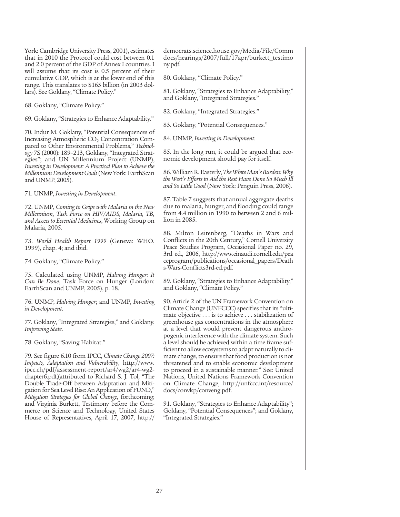York: Cambridge University Press, 2001), estimates that in 2010 the Protocol could cost between 0.1 and 2.0 percent of the GDP of Annex I countries. I will assume that its cost is 0.5 percent of their cumulative GDP, which is at the lower end of this range. This translates to \$165 billion (in 2003 dollars). See Goklany, "Climate Policy."

68. Goklany, "Climate Policy."

69. Goklany, "Strategies to Enhance Adaptability."

70. Indur M. Goklany, "Potential Consequences of Increasing Atmospheric  $CO<sub>2</sub>$  Concentration Compared to Other Environmental Problems," *Technology* 7S (2000): 189–213, Goklany, "Integrated Strategies"; and UN Millennium Project (UNMP), *Investing in Development: A Practical Plan to Achieve the Millennium Development Goals* (New York: EarthScan and UNMP, 2005).

71. UNMP, *Investing in Development*.

72. UNMP, *Coming to Grips with Malaria in the New Millennium, Task Force on HIV/AIDS, Malaria, TB, and Access to Essential Medicines*, Working Group on Malaria, 2005.

73. *World Health Report 1999* (Geneva: WHO, 1999), chap. 4; and ibid.

74. Goklany, "Climate Policy."

75. Calculated using UNMP, *Halving Hunger: It Can Be Done*, Task Force on Hunger (London: EarthScan and UNMP, 2005), p. 18.

76. UNMP, *Halving Hunger*; and UNMP, *Investing in Development*.

77. Goklany, "Integrated Strategies," and Goklany, *Improving State*.

78. Goklany, "Saving Habitat."

79. See figure 6.10 from IPCC, *Climate Change 2007: Impacts, Adaptation and Vulnerability*, http://www. ipcc.ch/pdf/assessment-report/ar4/wg2/ar4-wg2 chapter6.pdf,(attributed to Richard S. J. Tol, "The Double Trade-Off between Adaptation and Mitigation for Sea Level Rise: An Application of FUND," *Mitigation Strategies for Global Change*, forthcoming; and Virginia Burkett, Testimony before the Commerce on Science and Technology, United States House of Representatives, April 17, 2007, http:// democrats.science.house.gov/Media/File/Comm docs/hearings/2007/full/17apr/burkett\_testimo ny.pdf.

80. Goklany, "Climate Policy."

81. Goklany, "Strategies to Enhance Adaptability," and Goklany, "Integrated Strategies."

82. Goklany, "Integrated Strategies."

83. Goklany, "Potential Consequences."

84. UNMP, *Investing in Development*.

85. In the long run, it could be argued that economic development should pay for itself.

86. William R. Easterly, *The White Man's Burden: Why the West's Efforts to Aid the Rest Have Done So Much Ill and So Little Good* (New York: Penguin Press, 2006).

87. Table 7 suggests that annual aggregate deaths due to malaria, hunger, and flooding could range from 4.4 million in 1990 to between 2 and 6 million in 2085.

88. Milton Leitenberg, "Deaths in Wars and Conflicts in the 20th Century," Cornell University Peace Studies Program, Occasional Paper no. 29, 3rd ed., 2006, http://www.einaudi.cornell.edu/pea ceprogram/publications/occasional\_papers/Death s-Wars-Conflicts3rd-ed.pdf.

89. Goklany, "Strategies to Enhance Adaptability," and Goklany, "Climate Policy."

90. Article 2 of the UN Framework Convention on Climate Change (UNFCCC) specifies that its "ultimate objective . . . is to achieve . . . stabilization of greenhouse gas concentrations in the atmosphere at a level that would prevent dangerous anthropogenic interference with the climate system. Such a level should be achieved within a time frame sufficient to allow ecosystems to adapt naturally to climate change, to ensure that food production is not threatened and to enable economic development to proceed in a sustainable manner." See: United Nations, United Nations Framework Convention on Climate Change, http://unfccc.int/resource/ docs/convkp/conveng.pdf.

91. Goklany, "Strategies to Enhance Adaptability"; Goklany, "Potential Consequences"; and Goklany, "Integrated Strategies."